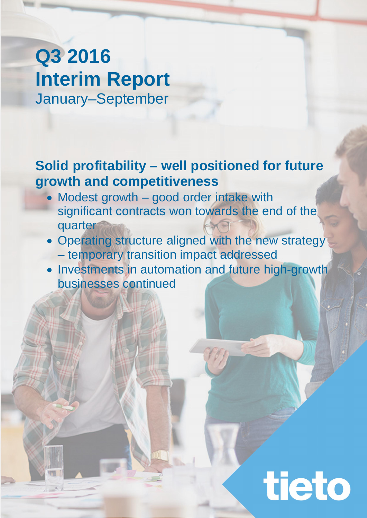# **Q3 2016 Interim Report** January–September

## **Solid profitability – well positioned for future growth and competitiveness**

- Modest growth good order intake with significant contracts won towards the end of the quarter
- Operating structure aligned with the new strategy
	- temporary transition impact addressed
- Investments in automation and future high-growth businesses continued

tieto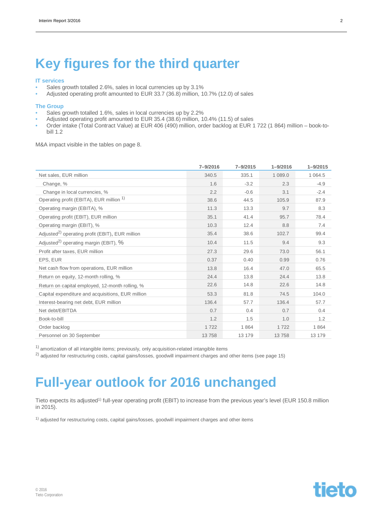## **Key figures for the third quarter**

#### **IT services**

- Sales growth totalled 2.6%, sales in local currencies up by 3.1%
- Adjusted operating profit amounted to EUR 33.7 (36.8) million, 10.7% (12.0) of sales

#### **The Group**

- Sales growth totalled 1.6%, sales in local currencies up by 2.2%
- Adjusted operating profit amounted to EUR 35.4 (38.6) million, 10.4% (11.5) of sales
- Order intake (Total Contract Value) at EUR 406 (490) million, order backlog at EUR 1 722 (1 864) million book-tobill 1.2

M&A impact visible in the tables on page 8.

|                                                             | 7-9/2016 | $7 - 9/2015$ | $1 - 9/2016$ | $1 - 9/2015$ |
|-------------------------------------------------------------|----------|--------------|--------------|--------------|
| Net sales, EUR million                                      | 340.5    | 335.1        | 1 089.0      | 1 0 6 4 .5   |
| Change, %                                                   | 1.6      | $-3.2$       | 2.3          | $-4.9$       |
| Change in local currencies, %                               | 2.2      | $-0.6$       | 3.1          | $-2.4$       |
| Operating profit (EBITA), EUR million <sup>1)</sup>         | 38.6     | 44.5         | 105.9        | 87.9         |
| Operating margin (EBITA), %                                 | 11.3     | 13.3         | 9.7          | 8.3          |
| Operating profit (EBIT), EUR million                        | 35.1     | 41.4         | 95.7         | 78.4         |
| Operating margin (EBIT), %                                  | 10.3     | 12.4         | 8.8          | 7.4          |
| Adjusted <sup>2)</sup> operating profit (EBIT), EUR million | 35.4     | 38.6         | 102.7        | 99.4         |
| Adjusted <sup>2)</sup> operating margin (EBIT), %           | 10.4     | 11.5         | 9.4          | 9.3          |
| Profit after taxes, EUR million                             | 27.3     | 29.6         | 73.0         | 56.1         |
| EPS, EUR                                                    | 0.37     | 0.40         | 0.99         | 0.76         |
| Net cash flow from operations, EUR million                  | 13.8     | 16.4         | 47.0         | 65.5         |
| Return on equity, 12-month rolling, %                       | 24.4     | 13.8         | 24.4         | 13.8         |
| Return on capital employed, 12-month rolling, %             | 22.6     | 14.8         | 22.6         | 14.8         |
| Capital expenditure and acquisitions, EUR million           | 53.3     | 81.8         | 74.5         | 104.0        |
| Interest-bearing net debt, EUR million                      | 136.4    | 57.7         | 136.4        | 57.7         |
| Net debt/EBITDA                                             | 0.7      | 0.4          | 0.7          | 0.4          |
| Book-to-bill                                                | 1.2      | 1.5          | 1.0          | 1.2          |
| Order backlog                                               | 1722     | 1864         | 1722         | 1864         |
| Personnel on 30 September                                   | 13758    | 13 179       | 13758        | 13 179       |

 $1)$  amortization of all intangible items; previously, only acquisition-related intangible items

<sup>2)</sup> adjusted for restructuring costs, capital gains/losses, goodwill impairment charges and other items (see page 15)

## **Full-year outlook for 2016 unchanged**

Tieto expects its adjusted<sup>1)</sup> full-year operating profit (EBIT) to increase from the previous year's level (EUR 150.8 million in 2015).

1) adjusted for restructuring costs, capital gains/losses, goodwill impairment charges and other items

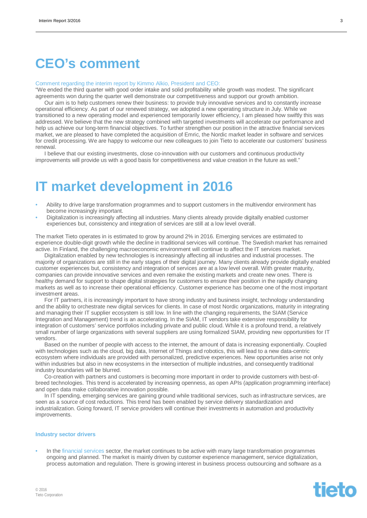## **CEO's comment**

#### Comment regarding the interim report by Kimmo Alkio, President and CEO:

"We ended the third quarter with good order intake and solid profitability while growth was modest. The significant agreements won during the quarter well demonstrate our competitiveness and support our growth ambition.

Our aim is to help customers renew their business: to provide truly innovative services and to constantly increase operational efficiency. As part of our renewed strategy, we adopted a new operating structure in July. While we transitioned to a new operating model and experienced temporarily lower efficiency, I am pleased how swiftly this was addressed. We believe that the new strategy combined with targeted investments will accelerate our performance and help us achieve our long-term financial objectives. To further strengthen our position in the attractive financial services market, we are pleased to have completed the acquisition of Emric, the Nordic market leader in software and services for credit processing. We are happy to welcome our new colleagues to join Tieto to accelerate our customers' business renewal.

I believe that our existing investments, close co-innovation with our customers and continuous productivity improvements will provide us with a good basis for competitiveness and value creation in the future as well."

## **IT market development in 2016**

- Ability to drive large transformation programmes and to support customers in the multivendor environment has become increasingly important.
- Digitalization is increasingly affecting all industries. Many clients already provide digitally enabled customer experiences but, consistency and integration of services are still at a low level overall.

The market Tieto operates in is estimated to grow by around 2% in 2016. Emerging services are estimated to experience double-digit growth while the decline in traditional services will continue. The Swedish market has remained active. In Finland, the challenging macroeconomic environment will continue to affect the IT services market.

Digitalization enabled by new technologies is increasingly affecting all industries and industrial processes. The majority of organizations are still in the early stages of their digital journey. Many clients already provide digitally enabled customer experiences but, consistency and integration of services are at a low level overall. With greater maturity, companies can provide innovative services and even remake the existing markets and create new ones. There is healthy demand for support to shape digital strategies for customers to ensure their position in the rapidly changing markets as well as to increase their operational efficiency. Customer experience has become one of the most important investment areas.

For IT partners, it is increasingly important to have strong industry and business insight, technology understanding and the ability to orchestrate new digital services for clients. In case of most Nordic organizations, maturity in integrating and managing their IT supplier ecosystem is still low. In line with the changing requirements, the SIAM (Service Integration and Management) trend is an accelerating. In the SIAM, IT vendors take extensive responsibility for integration of customers' service portfolios including private and public cloud. While it is a profound trend, a relatively small number of large organizations with several suppliers are using formalized SIAM, providing new opportunities for IT vendors.

Based on the number of people with access to the internet, the amount of data is increasing exponentially. Coupled with technologies such as the cloud, big data, Internet of Things and robotics, this will lead to a new data-centric ecosystem where individuals are provided with personalized, predictive experiences. New opportunities arise not only within industries but also in new ecosystems in the intersection of multiple industries, and consequently traditional industry boundaries will be blurred.

Co-creation with partners and customers is becoming more important in order to provide customers with best-ofbreed technologies. This trend is accelerated by increasing openness, as open APIs (application programming interface) and open data make collaborative innovation possible.

In IT spending, emerging services are gaining ground while traditional services, such as infrastructure services, are seen as a source of cost reductions. This trend has been enabled by service delivery standardization and industrialization. Going forward, IT service providers will continue their investments in automation and productivity improvements.

#### **Industry sector drivers**

• In the financial services sector, the market continues to be active with many large transformation programmes ongoing and planned. The market is mainly driven by customer experience management, service digitalization, process automation and regulation. There is growing interest in business process outsourcing and software as a

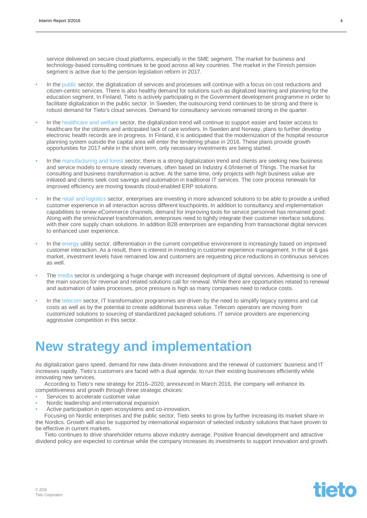service delivered on secure cloud platforms, especially in the SME segment. The market for business and technology-based consulting continues to be good across all key countries. The market in the Finnish pension segment is active due to the pension legislation reform in 2017.

- In the public sector, the digitalization of services and processes will continue with a focus on cost reductions and citizen-centric services. There is also healthy demand for solutions such as digitalized learning and planning for the education segment. In Finland, Tieto is actively participating in the Government development programme in order to facilitate digitalization in the public sector. In Sweden, the outsourcing trend continues to be strong and there is robust demand for Tieto's cloud services. Demand for consultancy services remained strong in the quarter.
- In the healthcare and welfare sector, the digitalization trend will continue to support easier and faster access to healthcare for the citizens and anticipated lack of care workers. In Sweden and Norway, plans to further develop electronic health records are in progress. In Finland, it is anticipated that the modernization of the hospital resource planning system outside the capital area will enter the tendering phase in 2016. These plans provide growth opportunities for 2017 while in the short term, only necessary investments are being started.
- In the manufacturing and forest sector, there is a strong digitalization trend and clients are seeking new business and service models to ensure steady revenues, often based on Industry 4.0/Internet of Things. The market for consulting and business transformation is active. At the same time, only projects with high business value are initiated and clients seek cost savings and automation in traditional IT services. The core process renewals for improved efficiency are moving towards cloud-enabled ERP solutions.
- In the retail and logistics sector, enterprises are investing in more advanced solutions to be able to provide a unified customer experience in all interaction across different touchpoints. In addition to consultancy and implementation capabilities to renew eCommerce channels, demand for improving tools for service personnel has remained good. Along with the omnichannel transformation, enterprises need to tightly integrate their customer interface solutions with their core supply chain solutions. In addition B2B enterprises are expanding from transactional digital services to enhanced user experience.
- In the energy utility sector, differentiation in the current competitive environment is increasingly based on improved customer interaction. As a result, there is interest in investing in customer experience management. In the oil & gas market, investment levels have remained low and customers are requesting price reductions in continuous services as well.
- The media sector is undergoing a huge change with increased deployment of digital services. Advertising is one of the main sources for revenue and related solutions call for renewal. While there are opportunities related to renewal and automation of sales processes, price pressure is high as many companies need to reduce costs.
- In the telecom sector, IT transformation programmes are driven by the need to simplify legacy systems and cut costs as well as by the potential to create additional business value. Telecom operators are moving from customized solutions to sourcing of standardized packaged solutions. IT service providers are experiencing aggressive competition in this sector.

## **New strategy and implementation**

As digitalization gains speed, demand for new data-driven innovations and the renewal of customers' business and IT increases rapidly. Tieto's customers are faced with a dual agenda: to run their existing businesses efficiently while innovating new services.

According to Tieto's new strategy for 2016–2020, announced in March 2016, the company will enhance its competitiveness and growth through three strategic choices:

- Services to accelerate customer value
- Nordic leadership and international expansion
- Active participation in open ecosystems and co-innovation.

Focusing on Nordic enterprises and the public sector, Tieto seeks to grow by further increasing its market share in the Nordics. Growth will also be supported by international expansion of selected industry solutions that have proven to be effective in current markets.

Tieto continues to drive shareholder returns above industry average. Positive financial development and attractive dividend policy are expected to continue while the company increases its investments to support innovation and growth.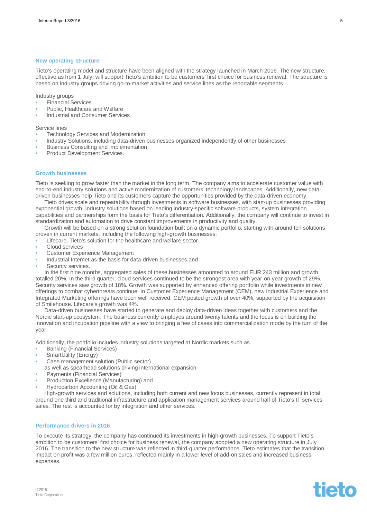#### **New operating structure**

Tieto's operating model and structure have been aligned with the strategy launched in March 2016. The new structure, effective as from 1 July, will support Tieto's ambition to be customers' first choice for business renewal. The structure is based on industry groups driving go-to-market activities and service lines as the reportable segments.

Industry groups

- Financial Services
- Public, Healthcare and Welfare
- Industrial and Consumer Services

Service lines

- Technology Services and Modernization
- Industry Solutions, including data-driven businesses organized independently of other businesses
- Business Consulting and Implementation
- Product Development Services.

#### **Growth businesses**

Tieto is seeking to grow faster than the market in the long term. The company aims to accelerate customer value with end-to-end industry solutions and active modernization of customers' technology landscapes. Additionally, new datadriven businesses help Tieto and its customers capture the opportunities provided by the data-driven economy.

Tieto drives scale and repeatability through investments in software businesses, with start-up businesses providing exponential growth. Industry solutions based on leading industry-specific software products, system integration capabilities and partnerships form the basis for Tieto's differentiation. Additionally, the company will continue to invest in standardization and automation to drive constant improvements in productivity and quality.

Growth will be based on a strong solution foundation built on a dynamic portfolio, starting with around ten solutions proven in current markets, including the following high-growth businesses:

- Lifecare, Tieto's solution for the healthcare and welfare sector
- Cloud services
- Customer Experience Management
- Industrial Internet as the basis for data-driven businesses and
- Security services.

In the first nine months, aggregated sales of these businesses amounted to around EUR 243 million and growth totalled 20%. In the third quarter, cloud services continued to be the strongest area with year-on-year growth of 29%. Security services saw growth of 18%. Growth was supported by enhanced offering portfolio while investments in new offerings to combat cyberthreats continue. In Customer Experience Management (CEM), new Industrial Experience and Integrated Marketing offerings have been well received. CEM posted growth of over 40%, supported by the acquisition of Smilehouse. Lifecare's growth was 4%.

Data-driven businesses have started to generate and deploy data-driven ideas together with customers and the Nordic start-up ecosystem. The business currently employes around twenty talents and the focus is on building the innovation and incubation pipeline with a view to bringing a few of cases into commercialization mode by the turn of the year.

Additionally, the portfolio includes industry solutions targeted at Nordic markets such as

- Banking (Financial Services)
- SmartUtility (Energy)
- Case management solution (Public sector)
- as well as spearhead solutions driving international expansion
- Payments (Financial Services)
- Production Excellence (Manufacturing) and
- Hydrocarbon Accounting (Oil & Gas)

High-growth services and solutions, including both current and new focus businesses, currently represent in total around one third and traditional infrastructure and application management services around half of Tieto's IT services sales. The rest is accounted for by integration and other services.

#### **Performance drivers in 2016**

To execute its strategy, the company has continued its investments in high-growth businesses. To support Tieto's ambition to be customers' first choice for business renewal, the company adopted a new operating structure in July 2016. The transition to the new structure was reflected in third-quarter performance. Tieto estimates that the transition impact on profit was a few million euros, reflected mainly in a lower level of add-on sales and increased business expenses.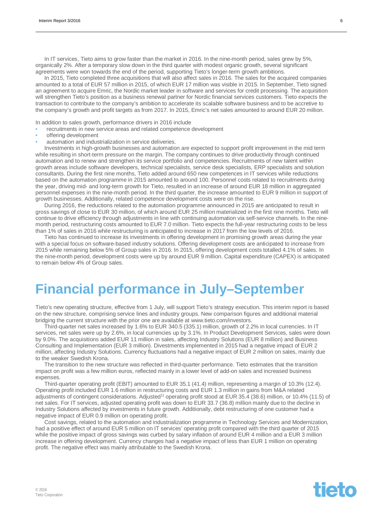In IT services, Tieto aims to grow faster than the market in 2016. In the nine-month period, sales grew by 5%, organically 2%. After a temporary slow down in the third quarter with modest organic growth, several significant agreements were won towards the end of the period, supporting Tieto's longer-term growth ambitions.

In 2015, Tieto completed three acquisitions that will also affect sales in 2016. The sales for the acquired companies amounted to a total of EUR 57 million in 2015, of which EUR 17 million was visible in 2015. In September, Tieto signed an agreement to acquire Emric, the Nordic market leader in software and services for credit processing. The acquisition will strengthen Tieto's position as a business renewal partner for Nordic financial services customers. Tieto expects the transaction to contribute to the company's ambition to accelerate its scalable software business and to be accretive to the company's growth and profit targets as from 2017. In 2015, Emric's net sales amounted to around EUR 20 million.

In addition to sales growth, performance drivers in 2016 include

- recruitments in new service areas and related competence development
- offering development
- automation and industrialization in service deliveries.

Investments in high-growth businesses and automation are expected to support profit improvement in the mid term while resulting in short-term pressure on the margin. The company continues to drive productivity through continued automation and to renew and strengthen its service portfolio and competencies. Recruitments of new talent within growth areas include software developers, technical specialists, service desk specialists, ERP specialists and solution consultants. During the first nine months, Tieto added around 650 new competences in IT services while reductions based on the automation programme in 2015 amounted to around 100. Personnel costs related to recruitments during the year, driving mid- and long-term growth for Tieto, resulted in an increase of around EUR 18 million in aggregated personnel expenses in the nine-month period. In the third quarter, the increase amounted to EUR 9 million in support of growth businesses. Additionally, related competence development costs were on the rise.

During 2016, the reductions related to the automation programme announced in 2015 are anticipated to result in gross savings of close to EUR 30 million, of which around EUR 25 million materialized in the first nine months. Tieto will continue to drive efficiency through adjustments in line with continuing automation via self-service channels. In the ninemonth period, restructuring costs amounted to EUR 7.0 million. Tieto expects the full-year restructuring costs to be less than 1% of sales in 2016 while restructuring is anticipated to increase in 2017 from the low levels of 2016.

Tieto has continued to increase its investments in offering development in promising growth areas during the year with a special focus on software-based industry solutions. Offering development costs are anticipated to increase from 2015 while remaining below 5% of Group sales in 2016. In 2015, offering development costs totalled 4.1% of sales. In the nine-month period, development costs were up by around EUR 9 million. Capital expenditure (CAPEX) is anticipated to remain below 4% of Group sales.

## **Financial performance in July–September**

Tieto's new operating structure, effective from 1 July, will support Tieto's strategy execution. This interim report is based on the new structure, comprising service lines and industry groups. New comparison figures and additional material bridging the current structure with the prior one are available at [www.tieto.com/investors.](http://www.tieto.com/investors)

Third-quarter net sales increased by 1.6% to EUR 340.5 (335.1) million, growth of 2.2% in local currencies. In IT services, net sales were up by 2.6%, in local currencies up by 3.1%. In Product Development Services, sales were down by 9.0%. The acquisitions added EUR 11 million in sales, affecting Industry Solutions (EUR 8 million) and Business Consulting and Implementation (EUR 3 million). Divestments implemented in 2015 had a negative impact of EUR 2 million, affecting Industry Solutions. Currency fluctuations had a negative impact of EUR 2 million on sales, mainly due to the weaker Swedish Krona.

The transition to the new structure was reflected in third-quarter performance. Tieto estimates that the transition impact on profit was a few million euros, reflected mainly in a lower level of add-on sales and increased business expenses.

Third-quarter operating profit (EBIT) amounted to EUR 35.1 (41.4) million, representing a margin of 10.3% (12.4). Operating profit included EUR 1.6 million in restructuring costs and EUR 1.3 million in gains from M&A related adjustments of contingent considerations. Adjusted<sup>1)</sup> operating profit stood at EUR 35.4 (38.6) million, or 10.4% (11.5) of net sales. For IT services, adjusted operating profit was down to EUR 33.7 (36.8) million mainly due to the decline in Industry Solutions affected by investments in future growth. Additionally, debt restructuring of one customer had a negative impact of EUR 0.9 million on operating profit.

Cost savings, related to the automation and industrialization programme in Technology Services and Modernization, had a positive effect of around EUR 5 million on IT services' operating profit compared with the third quarter of 2015 while the positive impact of gross savings was curbed by salary inflation of around EUR 4 million and a EUR 3 million increase in offering development. Currency changes had a negative impact of less than EUR 1 million on operating profit. The negative effect was mainly attributable to the Swedish Krona.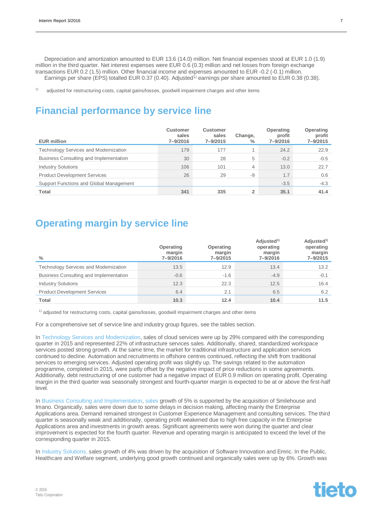Depreciation and amortization amounted to EUR 13.6 (14.0) million. Net financial expenses stood at EUR 1.0 (1.9) million in the third quarter. Net interest expenses were EUR 0.6 (0.3) million and net losses from foreign exchange transactions EUR 0.2 (1.5) million. Other financial income and expenses amounted to EUR -0.2 (-0.1) million. Earnings per share (EPS) totalled EUR 0.37 (0.40). Adjusted<sup>1)</sup> earnings per share amounted to EUR 0.38 (0.38).

<sup>1)</sup> adjusted for restructuring costs, capital gains/losses, goodwill impairment charges and other items

### **Financial performance by service line**

| <b>EUR million</b>                           | <b>Customer</b><br>sales<br>7-9/2016 | <b>Customer</b><br>sales<br>7-9/2015 | Change,<br>$\frac{0}{0}$ | Operating<br>profit<br>7-9/2016 | <b>Operating</b><br>profit<br>$7 - 9/2015$ |
|----------------------------------------------|--------------------------------------|--------------------------------------|--------------------------|---------------------------------|--------------------------------------------|
| <b>Technology Services and Modernization</b> | 179                                  | 177                                  |                          | 24.2                            | 22.9                                       |
| Business Consulting and Implementation       | 30                                   | 28                                   | 5                        | $-0.2$                          | $-0.5$                                     |
| <b>Industry Solutions</b>                    | 106                                  | 101                                  | 4                        | 13.0                            | 22.7                                       |
| <b>Product Development Services</b>          | 26                                   | 29                                   | -9                       | 1.7                             | 0.6                                        |
| Support Functions and Global Management      |                                      |                                      |                          | $-3.5$                          | $-4.3$                                     |
| Total                                        | 341                                  | 335                                  | $\mathbf{2}$             | 35.1                            | 41.4                                       |

### **Operating margin by service line**

| $\%$                                         | Operating<br>margin<br>7-9/2016 | Operating<br>margin<br>7-9/2015 | Adjusted <sup>1)</sup><br>operating<br>margin<br>7-9/2016 | Adjusted <sup>1)</sup><br>operating<br>margin<br>7-9/2015 |
|----------------------------------------------|---------------------------------|---------------------------------|-----------------------------------------------------------|-----------------------------------------------------------|
| <b>Technology Services and Modernization</b> | 13.5                            | 12.9                            | 13.4                                                      | 13.2                                                      |
| Business Consulting and Implementation       | $-0.6$                          | $-1.6$                          | $-4.9$                                                    | $-0.1$                                                    |
| <b>Industry Solutions</b>                    | 12.3                            | 22.3                            | 12.5                                                      | 16.4                                                      |
| <b>Product Development Services</b>          | 6.4                             | 2.1                             | 6.5                                                       | 6.2                                                       |
| <b>Total</b>                                 | 10.3                            | 12.4                            | 10.4                                                      | 11.5                                                      |

1) adjusted for restructuring costs, capital gains/losses, goodwill impairment charges and other items

For a comprehensive set of service line and industry group figures, see the tables section.

In Technology Services and Modernization, sales of cloud services were up by 29% compared with the corresponding quarter in 2015 and represented 22% of infrastructure services sales. Additionally, shared, standardized workspace services posted strong growth. At the same time, the market for traditional infrastructure and application services continued to decline. Automation and recruitments in offshore centres continued, reflecting the shift from traditional services to emerging services. Adjusted operating profit was slightly up. The savings related to the automation programme, completed in 2015, were partly offset by the negative impact of price reductions in some agreements. Additionally, debt restructuring of one customer had a negative impact of EUR 0.9 million on operating profit. Operating margin in the third quarter was seasonally strongest and fourth-quarter margin is expected to be at or above the first-half level.

In Business Consulting and Implementation, sales growth of 5% is supported by the acquisition of Smilehouse and Imano. Organically, sales were down due to some delays in decision making, affecting mainly the Enterprise Applications area. Demand remained strongest in Customer Experience Management and consulting services. The third quarter is seasonally weak and additionally, operating profit weakened due to high free capacity in the Enterprise Applications area and investments in growth areas. Significant agreements were won during the quarter and clear improvement is expected for the fourth quarter. Revenue and operating margin is anticipated to exceed the level of the corresponding quarter in 2015.

In Industry Solutions, sales growth of 4% was driven by the acquisition of Software Innovation and Emric. In the Public, Healthcare and Welfare segment, underlying good growth continued and organically sales were up by 6%. Growth was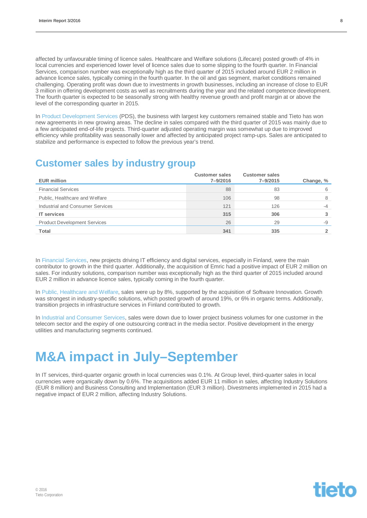affected by unfavourable timing of licence sales. Healthcare and Welfare solutions (Lifecare) posted growth of 4% in local currencies and experienced lower level of licence sales due to some slipping to the fourth quarter. In Financial Services, comparison number was exceptionally high as the third quarter of 2015 included around EUR 2 million in advance licence sales, typically coming in the fourth quarter. In the oil and gas segment, market conditions remained challenging. Operating profit was down due to investments in growth businesses, including an increase of close to EUR 3 million in offering development costs as well as recruitments during the year and the related competence development. The fourth quarter is expected to be seasonally strong with healthy revenue growth and profit margin at or above the level of the corresponding quarter in 2015.

In Product Development Services (PDS), the business with largest key customers remained stable and Tieto has won new agreements in new growing areas. The decline in sales compared with the third quarter of 2015 was mainly due to a few anticipated end-of-life projects. Third-quarter adjusted operating margin was somewhat up due to improved efficiency while profitability was seasonally lower and affected by anticipated project ramp-ups. Sales are anticipated to stabilize and performance is expected to follow the previous year's trend.

### **Customer sales by industry group**

| <b>EUR million</b>                  | <b>Customer sales</b><br>7-9/2016 | <b>Customer sales</b><br>7-9/2015 | Change, % |
|-------------------------------------|-----------------------------------|-----------------------------------|-----------|
| <b>Financial Services</b>           | 88                                | 83                                | 6         |
| Public, Healthcare and Welfare      | 106                               | 98                                | 8         |
| Industrial and Consumer Services    | 121                               | 126                               | $-4$      |
| <b>IT</b> services                  | 315                               | 306                               |           |
| <b>Product Development Services</b> | 26                                | 29                                | -9        |
| Total                               | 341                               | 335                               |           |

In Financial Services, new projects driving IT efficiency and digital services, especially in Finland, were the main contributor to growth in the third quarter. Additionally, the acquisition of Emric had a positive impact of EUR 2 million on sales. For industry solutions, comparison number was exceptionally high as the third quarter of 2015 included around EUR 2 million in advance licence sales, typically coming in the fourth quarter.

In Public, Healthcare and Welfare, sales were up by 8%, supported by the acquisition of Software Innovation. Growth was strongest in industry-specific solutions, which posted growth of around 19%, or 6% in organic terms. Additionally, transition projects in infrastructure services in Finland contributed to growth.

In Industrial and Consumer Services, sales were down due to lower project business volumes for one customer in the telecom sector and the expiry of one outsourcing contract in the media sector. Positive development in the energy utilities and manufacturing segments continued.

## **M&A impact in July–September**

In IT services, third-quarter organic growth in local currencies was 0.1%. At Group level, third-quarter sales in local currencies were organically down by 0.6%. The acquisitions added EUR 11 million in sales, affecting Industry Solutions (EUR 8 million) and Business Consulting and Implementation (EUR 3 million). Divestments implemented in 2015 had a negative impact of EUR 2 million, affecting Industry Solutions.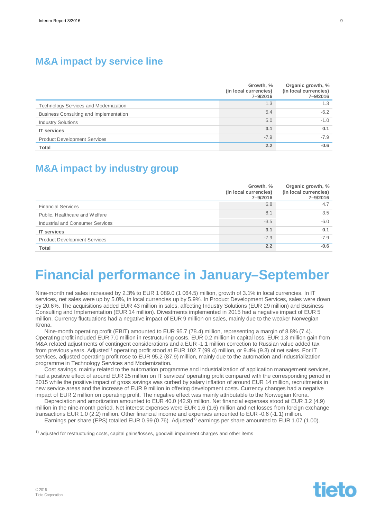### **M&A impact by service line**

|                                              | Growth, %<br>(in local currencies)<br>7-9/2016 | Organic growth, %<br>(in local currencies)<br>7-9/2016 |
|----------------------------------------------|------------------------------------------------|--------------------------------------------------------|
| <b>Technology Services and Modernization</b> | 1.3                                            | 1.3                                                    |
| Business Consulting and Implementation       | 5.4                                            | $-6.2$                                                 |
| <b>Industry Solutions</b>                    | 5.0                                            | $-1.0$                                                 |
| <b>IT services</b>                           | 3.1                                            | 0.1                                                    |
| <b>Product Development Services</b>          | $-7.9$                                         | $-7.9$                                                 |
| <b>Total</b>                                 | 2.2                                            | $-0.6$                                                 |

### **M&A impact by industry group**

|                                     | Growth, %<br>(in local currencies)<br>7-9/2016 | Organic growth, %<br>(in local currencies)<br>7-9/2016 |
|-------------------------------------|------------------------------------------------|--------------------------------------------------------|
| <b>Financial Services</b>           | 6.8                                            | 4.7                                                    |
| Public, Healthcare and Welfare      | 8.1                                            | 3.5                                                    |
| Industrial and Consumer Services    | $-3.5$                                         | $-6.0$                                                 |
| <b>IT services</b>                  | 3.1                                            | 0.1                                                    |
| <b>Product Development Services</b> | $-7.9$                                         | $-7.9$                                                 |
| <b>Total</b>                        | 2.2                                            | $-0.6$                                                 |

## **Financial performance in January–September**

Nine-month net sales increased by 2.3% to EUR 1 089.0 (1 064.5) million, growth of 3.1% in local currencies. In IT services, net sales were up by 5.0%, in local currencies up by 5.9%. In Product Development Services, sales were down by 20.6%. The acquisitions added EUR 43 million in sales, affecting Industry Solutions (EUR 29 million) and Business Consulting and Implementation (EUR 14 million). Divestments implemented in 2015 had a negative impact of EUR 5 million. Currency fluctuations had a negative impact of EUR 9 million on sales, mainly due to the weaker Norwegian Krona.

Nine-month operating profit (EBIT) amounted to EUR 95.7 (78.4) million, representing a margin of 8.8% (7.4). Operating profit included EUR 7.0 million in restructuring costs, EUR 0.2 million in capital loss, EUR 1.3 million gain from M&A related adjustments of contingent considerations and a EUR -1.1 million correction to Russian value added tax from previous years. Adjusted<sup>1)</sup> operating profit stood at EUR 102.7 (99.4) million, or 9.4% (9.3) of net sales. For IT services, adjusted operating profit rose to EUR 95.2 (87.9) million, mainly due to the automation and industrialization programme in Technology Services and Modernization.

Cost savings, mainly related to the automation programme and industrialization of application management services, had a positive effect of around EUR 25 million on IT services' operating profit compared with the corresponding period in 2015 while the positive impact of gross savings was curbed by salary inflation of around EUR 14 million, recruitments in new service areas and the increase of EUR 9 million in offering development costs. Currency changes had a negative impact of EUR 2 million on operating profit. The negative effect was mainly attributable to the Norwegian Krona.

Depreciation and amortization amounted to EUR 40.0 (42.9) million. Net financial expenses stood at EUR 3.2 (4.9) million in the nine-month period. Net interest expenses were EUR 1.6 (1.6) million and net losses from foreign exchange transactions EUR 1.0 (2.2) million. Other financial income and expenses amounted to EUR -0.6 (-1.1) million.

Earnings per share (EPS) totalled EUR 0.99 (0.76). Adjusted<sup>1)</sup> earnings per share amounted to EUR 1.07 (1.00).

 $1)$  adjusted for restructuring costs, capital gains/losses, goodwill impairment charges and other items

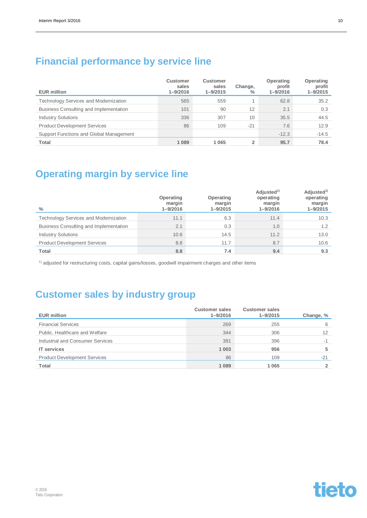### **Financial performance by service line**

| <b>EUR million</b>                           | <b>Customer</b><br>sales<br>$1 - 9/2016$ | <b>Customer</b><br>sales<br>$1 - 9/2015$ | Change,<br>$\frac{0}{0}$ | Operating<br>profit<br>$1 - 9/2016$ | <b>Operating</b><br>profit<br>$1 - 9/2015$ |
|----------------------------------------------|------------------------------------------|------------------------------------------|--------------------------|-------------------------------------|--------------------------------------------|
| <b>Technology Services and Modernization</b> | 565                                      | 559                                      |                          | 62.8                                | 35.2                                       |
| Business Consulting and Implementation       | 101                                      | 90                                       | 12                       | 2.1                                 | 0.3                                        |
| <b>Industry Solutions</b>                    | 336                                      | 307                                      | 10                       | 35.5                                | 44.5                                       |
| <b>Product Development Services</b>          | 86                                       | 109                                      | $-21$                    | 7.6                                 | 12.9                                       |
| Support Functions and Global Management      |                                          |                                          |                          | $-12.3$                             | $-14.5$                                    |
| Total                                        | 1 0 8 9                                  | 1 0 6 5                                  | 2                        | 95.7                                | 78.4                                       |

### **Operating margin by service line**

| $\frac{0}{0}$                                | Operating<br>margin<br>$1 - 9/2016$ | Operating<br>margin<br>$1 - 9/2015$ | Adjusted <sup>1)</sup><br>operating<br>margin<br>$1 - 9/2016$ | Adjusted <sup>1)</sup><br>operating<br>margin<br>$1 - 9/2015$ |
|----------------------------------------------|-------------------------------------|-------------------------------------|---------------------------------------------------------------|---------------------------------------------------------------|
| <b>Technology Services and Modernization</b> | 11.1                                | 6.3                                 | 11.4                                                          | 10.3                                                          |
| Business Consulting and Implementation       | 2.1                                 | 0.3                                 | 1.0                                                           | 1.2                                                           |
| <b>Industry Solutions</b>                    | 10.6                                | 14.5                                | 11.2                                                          | 13.0                                                          |
| <b>Product Development Services</b>          | 8.8                                 | 11.7                                | 8.7                                                           | 10.6                                                          |
| Total                                        | 8.8                                 | 7.4                                 | 9.4                                                           | 9.3                                                           |

<sup>1)</sup> adjusted for restructuring costs, capital gains/losses, goodwill impairment charges and other items

### **Customer sales by industry group**

| <b>EUR million</b>                  | <b>Customer sales</b><br>$1 - 9/2016$ | <b>Customer sales</b><br>$1 - 9/2015$ | Change, % |
|-------------------------------------|---------------------------------------|---------------------------------------|-----------|
| <b>Financial Services</b>           | 269                                   | 255                                   | 6         |
| Public, Healthcare and Welfare      | 344                                   | 306                                   | 12        |
| Industrial and Consumer Services    | 391                                   | 396                                   | -1        |
| <b>IT</b> services                  | 1 0 0 3                               | 956                                   |           |
| <b>Product Development Services</b> | 86                                    | 109                                   | $-21$     |
| Total                               | 1089                                  | 1 0 6 5                               |           |

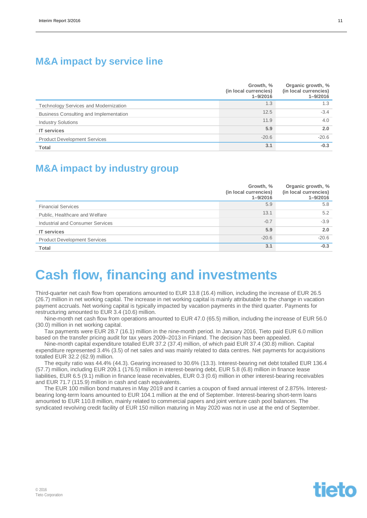### **M&A impact by service line**

|                                        | Growth, %<br>(in local currencies)<br>$1 - 9/2016$ | Organic growth, %<br>(in local currencies)<br>$1 - 9/2016$ |
|----------------------------------------|----------------------------------------------------|------------------------------------------------------------|
| Technology Services and Modernization  | 1.3                                                | 1.3                                                        |
| Business Consulting and Implementation | 12.5                                               | $-3.4$                                                     |
| <b>Industry Solutions</b>              | 11.9                                               | 4.0                                                        |
| <b>IT services</b>                     | 5.9                                                | 2.0                                                        |
| <b>Product Development Services</b>    | $-20.6$                                            | $-20.6$                                                    |
| <b>Total</b>                           | 3.1                                                | $-0.3$                                                     |

### **M&A impact by industry group**

|                                     | Growth, %<br>(in local currencies)<br>$1 - 9/2016$ | Organic growth, %<br>(in local currencies)<br>$1 - 9/2016$ |
|-------------------------------------|----------------------------------------------------|------------------------------------------------------------|
| <b>Financial Services</b>           | 5.9                                                | 5.8                                                        |
| Public, Healthcare and Welfare      | 13.1                                               | 5.2                                                        |
| Industrial and Consumer Services    | $-0.7$                                             | $-3.9$                                                     |
| <b>IT services</b>                  | 5.9                                                | 2.0                                                        |
| <b>Product Development Services</b> | $-20.6$                                            | $-20.6$                                                    |
| <b>Total</b>                        | 3.1                                                | $-0.3$                                                     |

## **Cash flow, financing and investments**

Third-quarter net cash flow from operations amounted to EUR 13.8 (16.4) million, including the increase of EUR 26.5 (26.7) million in net working capital. The increase in net working capital is mainly attributable to the change in vacation payment accruals. Net working capital is typically impacted by vacation payments in the third quarter. Payments for restructuring amounted to EUR 3.4 (10.6) million.

Nine-month net cash flow from operations amounted to EUR 47.0 (65.5) million, including the increase of EUR 56.0 (30.0) million in net working capital.

Tax payments were EUR 28.7 (16.1) million in the nine-month period. In January 2016, Tieto paid EUR 6.0 million based on the transfer pricing audit for tax years 2009–2013 in Finland. The decision has been appealed.

Nine-month capital expenditure totalled EUR 37.2 (37.4) million, of which paid EUR 37.4 (30.8) million. Capital expenditure represented 3.4% (3.5) of net sales and was mainly related to data centres. Net payments for acquisitions totalled EUR 32.2 (62.9) million.

The equity ratio was 44.4% (44.3). Gearing increased to 30.6% (13.3). Interest-bearing net debt totalled EUR 136.4 (57.7) million, including EUR 209.1 (176.5) million in interest-bearing debt, EUR 5.8 (6.8) million in finance lease liabilities, EUR 6.5 (9.1) million in finance lease receivables, EUR 0.3 (0.6) million in other interest-bearing receivables and EUR 71.7 (115.9) million in cash and cash equivalents.

The EUR 100 million bond matures in May 2019 and it carries a coupon of fixed annual interest of 2.875%. Interestbearing long-term loans amounted to EUR 104.1 million at the end of September. Interest-bearing short-term loans amounted to EUR 110.8 million, mainly related to commercial papers and joint venture cash pool balances. The syndicated revolving credit facility of EUR 150 million maturing in May 2020 was not in use at the end of September.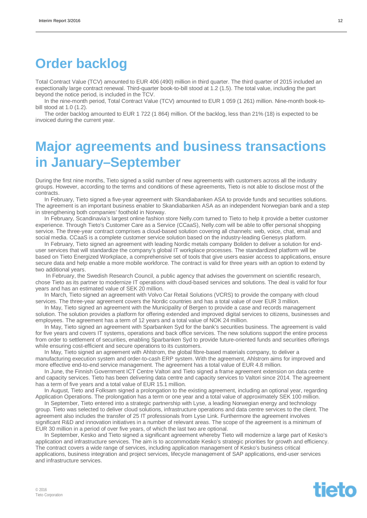## **Order backlog**

Total Contract Value (TCV) amounted to EUR 406 (490) million in third quarter. The third quarter of 2015 included an expectionally large contract renewal. Third-quarter book-to-bill stood at 1.2 (1.5). The total value, including the part beyond the notice period, is included in the TCV.

In the nine-month period, Total Contract Value (TCV) amounted to EUR 1 059 (1 261) million. Nine-month book-tobill stood at 1.0 (1.2).

The order backlog amounted to EUR 1 722 (1 864) million. Of the backlog, less than 21% (18) is expected to be invoiced during the current year.

## **Major agreements and business transactions in January–September**

During the first nine months, Tieto signed a solid number of new agreements with customers across all the industry groups. However, according to the terms and conditions of these agreements, Tieto is not able to disclose most of the contracts.

In February, Tieto signed a five-year agreement with Skandiabanken ASA to provide funds and securities solutions. The agreement is an important business enabler to Skandiabanken ASA as an independent Norwegian bank and a step in strengthening both companies' foothold in Norway.

In February, Scandinavia's largest online fashion store Nelly.com turned to Tieto to help it provide a better customer experience. Through Tieto's Customer Care as a Service (CCaaS), Nelly.com will be able to offer personal shopping service. The three-year contract comprises a cloud-based solution covering all channels: web, voice, chat, email and social media. CCaaS is a complete customer service solution based on the industry-leading Genesys platform.

In February, Tieto signed an agreement with leading Nordic metals company Boliden to deliver a solution for enduser services that will standardize the company's global IT workplace processes. The standardized platform will be based on Tieto Energized Workplace, a comprehensive set of tools that give users easier access to applications, ensure secure data and help enable a more mobile workforce. The contract is valid for three years with an option to extend by two additional years.

 In February, the Swedish Research Council, a public agency that advises the government on scientific research, chose Tieto as its partner to modernize IT operations with cloud-based services and solutions. The deal is valid for four years and has an estimated value of SEK 20 million.

In March, Tieto signed an agreement with Volvo Car Retail Solutions (VCRS) to provide the company with cloud services. The three-year agreement covers the Nordic countries and has a total value of over EUR 3 million.

In May, Tieto signed an agreement with the Municipality of Bergen to provide a case and records management solution. The solution provides a platform for offering extended and improved digital services to citizens, businesses and employees. The agreement has a term of 12 years and a total value of NOK 24 million.

In May, Tieto signed an agreement with Sparbanken Syd for the bank's securities business. The agreement is valid for five years and covers IT systems, operations and back office services. The new solutions support the entire process from order to settlement of securities, enabling Sparbanken Syd to provide future-oriented funds and securities offerings while ensuring cost-efficient and secure operations to its customers.

In May, Tieto signed an agreement with Ahlstrom, the global fibre-based materials company, to deliver a manufacturing execution system and order-to-cash ERP system. With the agreement, Ahlstrom aims for improved and more effective end-to-end service management. The agreement has a total value of EUR 4.8 million.

In June, the Finnish Government ICT Centre Valtori and Tieto signed a frame agreement extension on data centre and capacity services. Tieto has been delivering data centre and capacity services to Valtori since 2014. The agreement has a term of five years and a total value of EUR 15.1 million.

In August, Tieto and Folksam signed a prolongation to the existing agreement, including an optional year, regarding Application Operations. The prolongation has a term or one year and a total value of approximately SEK 100 million.

In September, Tieto entered into a strategic partnership with Lyse, a leading Norwegian energy and technology group. Tieto was selected to deliver cloud solutions, infrastructure operations and data centre services to the client. The agreement also includes the transfer of 25 IT professionals from Lyse Link. Furthermore the agreement involves significant R&D and innovation initiatives in a number of relevant areas. The scope of the agreement is a minimum of EUR 30 million in a period of over five years, of which the last two are optional.

In September, Kesko and Tieto signed a significant agreement whereby Tieto will modernize a large part of Kesko's application and infrastructure services. The aim is to accommodate Kesko's strategic priorities for growth and efficiency. The contract covers a wide range of services, including application management of Kesko's business critical applications, business integration and project services, lifecycle management of SAP applications, end-user services and infrastructure services.



© 2016 Tieto Corporation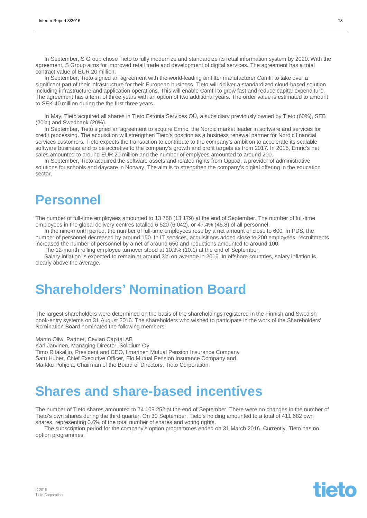In September, S Group chose Tieto to fully modernize and standardize its retail information system by 2020. With the agreement, S Group aims for improved retail trade and development of digital services. The agreement has a total contract value of EUR 20 million.

In September, Tieto signed an agreement with the world-leading air filter manufacturer Camfil to take over a significant part of their infrastructure for their European business. Tieto will deliver a standardized cloud-based solution including infrastructure and application operations. This will enable Camfil to grow fast and reduce capital expenditure. The agreement has a term of three years with an option of two additional years. The order value is estimated to amount to SEK 40 million during the the first three years.

In May, Tieto acquired all shares in Tieto Estonia Services OÜ, a subsidiary previously owned by Tieto (60%), SEB (20%) and Swedbank (20%).

In September, Tieto signed an agreement to acquire Emric, the Nordic market leader in software and services for credit processing. The acquisition will strengthen Tieto's position as a business renewal partner for Nordic financial services customers. Tieto expects the transaction to contribute to the company's ambition to accelerate its scalable software business and to be accretive to the company's growth and profit targets as from 2017. In 2015, Emric's net sales amounted to around EUR 20 million and the number of emplyees amounted to around 200.

In September, Tieto acquired the software assets and related rights from Oppad, a provider of administrative solutions for schools and daycare in Norway. The aim is to strengthen the company's digital offering in the education sector.

### **Personnel**

The number of full-time employees amounted to 13 758 (13 179) at the end of September. The number of full-time employees in the global delivery centres totalled 6 520 (6 042), or 47.4% (45.8) of all personnel.

In the nine-month period, the number of full-time employees rose by a net amount of close to 600. In PDS, the number of personnel decreased by around 150. In IT services, acquisitions added close to 200 employees, recruitments increased the number of personnel by a net of around 650 and reductions amounted to around 100.

The 12-month rolling employee turnover stood at 10.3% (10.1) at the end of September.

Salary inflation is expected to remain at around 3% on average in 2016. In offshore countries, salary inflation is clearly above the average.

## **Shareholders' Nomination Board**

The largest shareholders were determined on the basis of the shareholdings registered in the Finnish and Swedish book-entry systems on 31 August 2016. The shareholders who wished to participate in the work of the Shareholders' Nomination Board nominated the following members:

Martin Oliw, Partner, Cevian Capital AB

Kari Järvinen, Managing Director, Solidium Oy

Timo Ritakallio, President and CEO, Ilmarinen Mutual Pension Insurance Company Satu Huber, Chief Executive Officer, Elo Mutual Pension Insurance Company and Markku Pohjola, Chairman of the Board of Directors, Tieto Corporation.

## **Shares and share-based incentives**

The number of Tieto shares amounted to 74 109 252 at the end of September. There were no changes in the number of Tieto's own shares during the third quarter. On 30 September, Tieto's holding amounted to a total of 411 682 own shares, representing 0.6% of the total number of shares and voting rights.

The subscription period for the company's option programmes ended on 31 March 2016. Currently, Tieto has no option programmes.

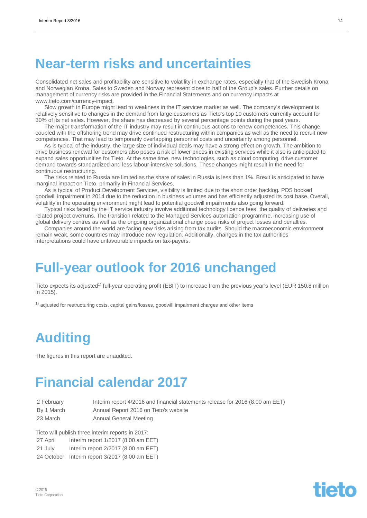## **Near-term risks and uncertainties**

Consolidated net sales and profitability are sensitive to volatility in exchange rates, especially that of the Swedish Krona and Norwegian Krona. Sales to Sweden and Norway represent close to half of the Group's sales. Further details on management of currency risks are provided in the Financial Statements and on currency impacts at www.tieto.com/currency-impact.

Slow growth in Europe might lead to weakness in the IT services market as well. The company's development is relatively sensitive to changes in the demand from large customers as Tieto's top 10 customers currently account for 30% of its net sales. However, the share has decreased by several percentage points during the past years.

The major transformation of the IT industry may result in continuous actions to renew competences. This change coupled with the offshoring trend may drive continued restructuring within companies as well as the need to recruit new competences. That may lead to temporarily overlapping personnel costs and uncertainty among personnel.

As is typical of the industry, the large size of individual deals may have a strong effect on growth. The ambition to drive business renewal for customers also poses a risk of lower prices in existing services while it also is anticipated to expand sales opportunities for Tieto. At the same time, new technologies, such as cloud computing, drive customer demand towards standardized and less labour-intensive solutions. These changes might result in the need for continuous restructuring.

The risks related to Russia are limited as the share of sales in Russia is less than 1%. Brexit is anticipated to have marginal impact on Tieto, primarily in Financial Services.

As is typical of Product Development Services, visibility is limited due to the short order backlog. PDS booked goodwill impairment in 2014 due to the reduction in business volumes and has efficiently adjusted its cost base. Overall, volatility in the operating environment might lead to potential goodwill impairments also going forward.

Typical risks faced by the IT service industry involve additional technology licence fees, the quality of deliveries and related project overruns. The transition related to the Managed Services automation programme, increasing use of global delivery centres as well as the ongoing organizational change pose risks of project losses and penalties.

Companies around the world are facing new risks arising from tax audits. Should the macroeconomic environment remain weak, some countries may introduce new regulation. Additionally, changes in the tax authorities' interpretations could have unfavourable impacts on tax-payers.

## **Full-year outlook for 2016 unchanged**

Tieto expects its adjusted<sup>1)</sup> full-year operating profit (EBIT) to increase from the previous year's level (EUR 150.8 million in 2015).

 $1)$  adjusted for restructuring costs, capital gains/losses, goodwill impairment charges and other items

## **Auditing**

The figures in this report are unaudited.

## **Financial calendar 2017**

2 February Interim report 4/2016 and financial statements release for 2016 (8.00 am EET) By 1 March **Annual Report 2016** on Tieto's website 23 March Annual General Meeting

Tieto will publish three interim reports in 2017:

27 April Interim report 1/2017 (8.00 am EET)

21 July Interim report 2/2017 (8.00 am EET)

24 October Interim report 3/2017 (8.00 am EET)

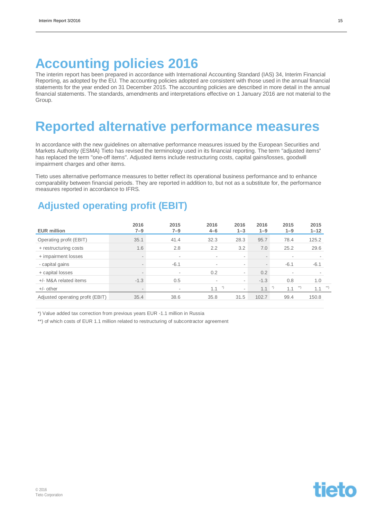## **Accounting policies 2016**

The interim report has been prepared in accordance with International Accounting Standard (IAS) 34, Interim Financial Reporting, as adopted by the EU. The accounting policies adopted are consistent with those used in the annual financial statements for the year ended on 31 December 2015. The accounting policies are described in more detail in the annual financial statements. The standards, amendments and interpretations effective on 1 January 2016 are not material to the Group.

## **Reported alternative performance measures**

In accordance with the new guidelines on alternative performance measures issued by the European Securities and Markets Authority (ESMA) Tieto has revised the terminology used in its financial reporting. The term "adjusted items" has replaced the term "one-off items". Adjusted items include restructuring costs, capital gains/losses, goodwill impairment charges and other items.

Tieto uses alternative performance measures to better reflect its operational business performance and to enhance comparability between financial periods. They are reported in addition to, but not as a substitute for, the performance measures reported in accordance to IFRS.

### **Adjusted operating profit (EBIT)**

| <b>EUR million</b>               | 2016<br>$7 - 9$ | 2015<br>$7 - 9$ | 2016<br>$4 - 6$ | 2016<br>$1 - 3$          | 2016<br>$1 - 9$          | 2015<br>$1 - 9$ | 2015<br>$1 - 12$ |
|----------------------------------|-----------------|-----------------|-----------------|--------------------------|--------------------------|-----------------|------------------|
| Operating profit (EBIT)          | 35.1            | 41.4            | 32.3            | 28.3                     | 95.7                     | 78.4            | 125.2            |
| + restructuring costs            | 1.6             | 2.8             | 2.2             | 3.2                      | 7.0                      | 25.2            | 29.6             |
| + impairment losses              | $\sim$          | $\sim$          |                 | -                        | $\overline{\phantom{a}}$ |                 |                  |
| - capital gains                  |                 | $-6.1$          |                 | $\overline{\phantom{a}}$ | $\overline{\phantom{a}}$ | $-6.1$          | $-6.1$           |
| + capital losses                 | $\sim$          | $\sim$          | 0.2             | -                        | 0.2                      | ۰               |                  |
| +/- M&A related items            | $-1.3$          | 0.5             |                 | $\overline{\phantom{a}}$ | $-1.3$                   | 0.8             | 1.0              |
| $+/-$ other                      |                 | $\sim$          | 1.1             | ۰                        | 1.1                      | 1.1             | 1.1              |
| Adjusted operating profit (EBIT) | 35.4            | 38.6            | 35.8            | 31.5                     | 102.7                    | 99.4            | 150.8            |

\*) Value added tax correction from previous years EUR -1.1 million in Russia

\*\*) of which costs of EUR 1.1 million related to restructuring of subcontractor agreement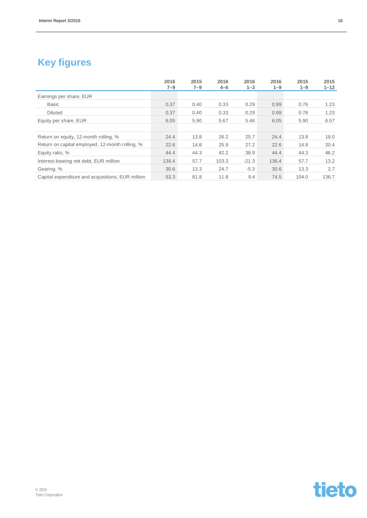### **Key figures**

|                                                   | 2016    | 2015    | 2016    | 2016    | 2016    | 2015    | 2015     |
|---------------------------------------------------|---------|---------|---------|---------|---------|---------|----------|
|                                                   | $7 - 9$ | $7 - 9$ | $4 - 6$ | $1 - 3$ | $1 - 9$ | $1 - 9$ | $1 - 12$ |
| Earnings per share, EUR                           |         |         |         |         |         |         |          |
| <b>Basic</b>                                      | 0.37    | 0.40    | 0.33    | 0.29    | 0.99    | 0.76    | 1.23     |
| <b>Diluted</b>                                    | 0.37    | 0.40    | 0.33    | 0.29    | 0.99    | 0.76    | 1.23     |
| Equity per share, EUR                             | 6.05    | 5.90    | 5.67    | 5.46    | 6.05    | 5.90    | 6.57     |
|                                                   |         |         |         |         |         |         |          |
| Return on equity, 12-month rolling, %             | 24.4    | 13.8    | 26.2    | 25.7    | 24.4    | 13.8    | 19.0     |
| Return on capital employed, 12-month rolling, %   | 22.6    | 14.8    | 25.9    | 27.2    | 22.6    | 14.8    | 20.4     |
| Equity ratio, %                                   | 44.4    | 44.3    | 42.2    | 38.9    | 44.4    | 44.3    | 46.2     |
| Interest-bearing net debt, EUR million            | 136.4   | 57.7    | 103.3   | $-21.3$ | 136.4   | 57.7    | 13.2     |
| Gearing, %                                        | 30.6    | 13.3    | 24.7    | $-5.3$  | 30.6    | 13.3    | 2.7      |
| Capital expenditure and acquisitions, EUR million | 53.3    | 81.8    | 11.8    | 9.4     | 74.5    | 104.0   | 136.7    |

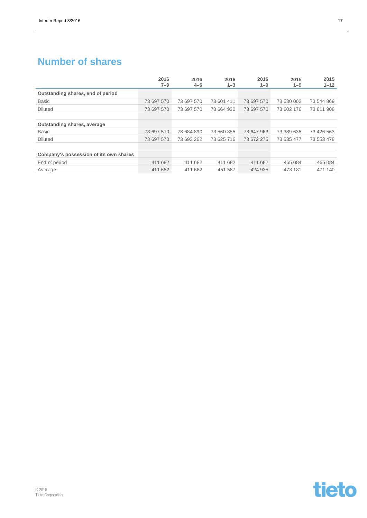### **Number of shares**

|                                        | 2016<br>$7 - 9$ | 2016<br>$4 - 6$ | 2016<br>$1 - 3$ | 2016<br>$1 - 9$ | 2015<br>$1 - 9$ | 2015<br>$1 - 12$ |
|----------------------------------------|-----------------|-----------------|-----------------|-----------------|-----------------|------------------|
| Outstanding shares, end of period      |                 |                 |                 |                 |                 |                  |
| Basic                                  | 73 697 570      | 73 697 570      | 73 601 411      | 73 697 570      | 73 530 002      | 73 544 869       |
| <b>Diluted</b>                         | 73 697 570      | 73 697 570      | 73 664 930      | 73 697 570      | 73 602 176      | 73 611 908       |
|                                        |                 |                 |                 |                 |                 |                  |
| Outstanding shares, average            |                 |                 |                 |                 |                 |                  |
| <b>Basic</b>                           | 73 697 570      | 73 684 890      | 73 560 885      | 73 647 963      | 73 389 635      | 73 426 563       |
| <b>Diluted</b>                         | 73 697 570      | 73 693 262      | 73 625 716      | 73 672 275      | 73 535 477      | 73 553 478       |
|                                        |                 |                 |                 |                 |                 |                  |
| Company's possession of its own shares |                 |                 |                 |                 |                 |                  |
| End of period                          | 411 682         | 411 682         | 411 682         | 411 682         | 465 084         | 465 084          |
| Average                                | 411 682         | 411 682         | 451 587         | 424 935         | 473 181         | 471 140          |

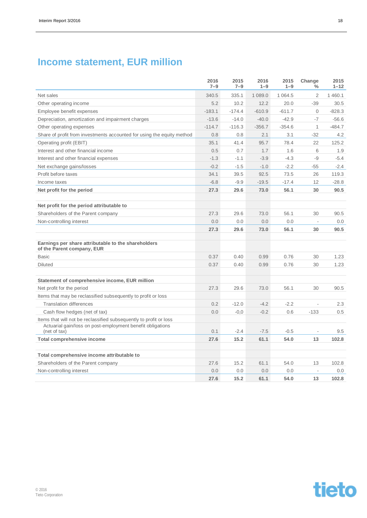### **Income statement, EUR million**

|                                                                                                                                                  | 2016<br>$7 - 9$ | 2015<br>$7 - 9$ | 2016<br>$1 - 9$ | 2015<br>$1 - 9$ | Change<br>%              | 2015<br>$1 - 12$ |
|--------------------------------------------------------------------------------------------------------------------------------------------------|-----------------|-----------------|-----------------|-----------------|--------------------------|------------------|
| Net sales                                                                                                                                        | 340.5           | 335.1           | 1 089.0         | 1 0 6 4 .5      | $\overline{2}$           | 1 460.1          |
| Other operating income                                                                                                                           | 5.2             | 10.2            | 12.2            | 20.0            | $-39$                    | 30.5             |
| Employee benefit expenses                                                                                                                        | $-183.1$        | $-174.4$        | $-610.9$        | $-611.7$        | $\mathbf{0}$             | $-828.3$         |
| Depreciation, amortization and impairment charges                                                                                                | $-13.6$         | $-14.0$         | $-40.0$         | $-42.9$         | $-7$                     | $-56.6$          |
| Other operating expenses                                                                                                                         | $-114.7$        | $-116.3$        | $-356.7$        | $-354.6$        | $\mathbf{1}$             | $-484.7$         |
| Share of profit from investments accounted for using the equity method                                                                           | 0.8             | 0.8             | 2.1             | 3.1             | $-32$                    | 4.2              |
| Operating profit (EBIT)                                                                                                                          | 35.1            | 41.4            | 95.7            | 78.4            | 22                       | 125.2            |
| Interest and other financial income                                                                                                              | 0.5             | 0.7             | 1.7             | 1.6             | 6                        | 1.9              |
| Interest and other financial expenses                                                                                                            | $-1.3$          | $-1.1$          | $-3.9$          | $-4.3$          | $-9$                     | $-5.4$           |
| Net exchange gains/losses                                                                                                                        | $-0.2$          | $-1.5$          | $-1.0$          | $-2.2$          | $-55$                    | $-2.4$           |
| Profit before taxes                                                                                                                              | 34.1            | 39.5            | 92.5            | 73.5            | 26                       | 119.3            |
| Income taxes                                                                                                                                     | $-6.8$          | $-9.9$          | $-19.5$         | $-17.4$         | 12                       | $-28.8$          |
| Net profit for the period                                                                                                                        | 27.3            | 29.6            | 73.0            | 56.1            | 30                       | 90.5             |
| Net profit for the period attributable to                                                                                                        |                 |                 |                 |                 |                          |                  |
| Shareholders of the Parent company                                                                                                               | 27.3            | 29.6            | 73.0            | 56.1            | 30                       | 90.5             |
| Non-controlling interest                                                                                                                         | 0.0             | 0.0             | 0.0             | 0.0             | $\overline{\phantom{a}}$ | 0.0              |
|                                                                                                                                                  | 27.3            | 29.6            | 73.0            | 56.1            | 30                       | 90.5             |
| Earnings per share attributable to the shareholders<br>of the Parent company, EUR                                                                |                 |                 |                 |                 |                          |                  |
| Basic                                                                                                                                            | 0.37            | 0.40            | 0.99            | 0.76            | 30                       | 1.23             |
| <b>Diluted</b>                                                                                                                                   | 0.37            | 0.40            | 0.99            | 0.76            | 30                       | 1.23             |
| Statement of comprehensive income, EUR million                                                                                                   |                 |                 |                 |                 |                          |                  |
| Net profit for the period                                                                                                                        | 27.3            | 29.6            | 73.0            | 56.1            | 30                       | 90.5             |
| Items that may be reclassified subsequently to profit or loss                                                                                    |                 |                 |                 |                 |                          |                  |
| <b>Translation differences</b>                                                                                                                   | 0.2             | $-12.0$         | $-4.2$          | $-2.2$          | $\overline{\phantom{a}}$ | 2.3              |
| Cash flow hedges (net of tax)                                                                                                                    | 0.0             | $-0.0$          | $-0.2$          | 0.6             | $-133$                   | 0.5              |
| Items that will not be reclassified subsequently to profit or loss<br>Actuarial gain/loss on post-employment benefit obligations<br>(net of tax) | 0.1             | $-2.4$          | $-7.5$          | $-0.5$          | $\overline{\phantom{a}}$ | 9.5              |
| <b>Total comprehensive income</b>                                                                                                                | 27.6            | 15.2            | 61.1            | 54.0            | 13                       | 102.8            |
|                                                                                                                                                  |                 |                 |                 |                 |                          |                  |
| Total comprehensive income attributable to                                                                                                       |                 |                 |                 |                 |                          |                  |
| Shareholders of the Parent company                                                                                                               | 27.6            | 15.2            | 61.1            | 54.0            | 13                       | 102.8            |
| Non-controlling interest                                                                                                                         | 0.0             | 0.0             | 0.0             | 0.0             |                          | 0.0              |
|                                                                                                                                                  | 27.6            | 15.2            | 61.1            | 54.0            | 13                       | 102.8            |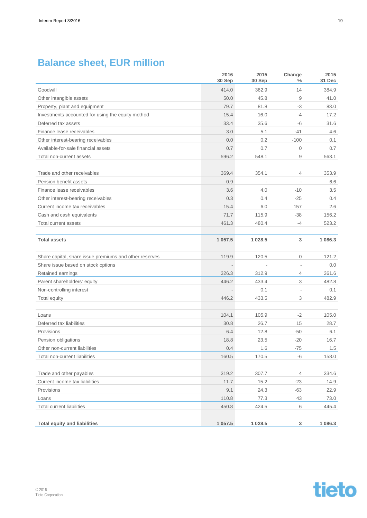## **Balance sheet, EUR million**

|                                                        | 2016<br>30 Sep | 2015<br>30 Sep           | Change<br>%              | 2015<br>31 Dec |
|--------------------------------------------------------|----------------|--------------------------|--------------------------|----------------|
| Goodwill                                               | 414.0          | 362.9                    | 14                       | 384.9          |
| Other intangible assets                                | 50.0           | 45.8                     | $\mathsf g$              | 41.0           |
| Property, plant and equipment                          | 79.7           | 81.8                     | -3                       | 83.0           |
| Investments accounted for using the equity method      | 15.4           | 16.0                     | $-4$                     | 17.2           |
| Deferred tax assets                                    | 33.4           | 35.6                     | $-6$                     | 31.6           |
| Finance lease receivables                              | 3.0            | 5.1                      | $-41$                    | 4.6            |
| Other interest-bearing receivables                     | 0.0            | 0.2                      | $-100$                   | 0.1            |
| Available-for-sale financial assets                    | 0.7            | 0.7                      | $\mathbf 0$              | 0.7            |
| Total non-current assets                               | 596.2          | 548.1                    | 9                        | 563.1          |
|                                                        |                |                          |                          |                |
| Trade and other receivables                            | 369.4          | 354.1                    | $\overline{4}$           | 353.9          |
| Pension benefit assets                                 | 0.9            | $\overline{\phantom{a}}$ | $\overline{\phantom{a}}$ | 6.6            |
| Finance lease receivables                              | 3.6            | 4.0                      | $-10$                    | 3.5            |
| Other interest-bearing receivables                     | 0.3            | 0.4                      | $-25$                    | 0.4            |
| Current income tax receivables                         | 15.4           | 6.0                      | 157                      | 2.6            |
| Cash and cash equivalents                              | 71.7           | 115.9                    | $-38$                    | 156.2          |
| Total current assets                                   | 461.3          | 480.4                    | $-4$                     | 523.2          |
|                                                        |                |                          |                          |                |
| <b>Total assets</b>                                    | 1 0 5 7 . 5    | 1 0 28.5                 | 3                        | 1 086.3        |
| Share capital, share issue premiums and other reserves | 119.9          | 120.5                    | $\mathbf 0$              | 121.2          |
| Share issue based on stock options                     |                |                          | $\bar{a}$                | 0.0            |
| Retained earnings                                      | 326.3          | 312.9                    | $\overline{4}$           | 361.6          |
| Parent shareholders' equity                            | 446.2          | 433.4                    | 3                        | 482.8          |
| Non-controlling interest                               |                | 0.1                      | $\sim$                   | 0.1            |
| Total equity                                           | 446.2          | 433.5                    | 3                        | 482.9          |
|                                                        |                |                          |                          |                |
| Loans                                                  | 104.1          | 105.9                    | $-2$                     | 105.0          |
| Deferred tax liabilities                               | 30.8           | 26.7                     | 15                       | 28.7           |
| Provisions                                             | 6.4            | 12.8                     | $-50$                    | 6.1            |
| Pension obligations                                    | 18.8           | 23.5                     | $-20$                    | 16.7           |
| Other non-current liabilities                          | 0.4            | 1.6                      | -75                      | 1.5            |
| Total non-current liabilities                          | 160.5          | 170.5                    | -6                       | 158.0          |
| Trade and other payables                               | 319.2          | 307.7                    | $\overline{4}$           | 334.6          |
| Current income tax liabilities                         | 11.7           | 15.2                     | $-23$                    | 14.9           |
| Provisions                                             | 9.1            | 24.3                     | $-63$                    | 22.9           |
| Loans                                                  | 110.8          | 77.3                     | 43                       | 73.0           |
| <b>Total current liabilities</b>                       | 450.8          | 424.5                    | 6                        | 445.4          |
|                                                        |                |                          |                          |                |
| <b>Total equity and liabilities</b>                    | 1 0 5 7.5      | 1 0 28.5                 | 3                        | 1 086.3        |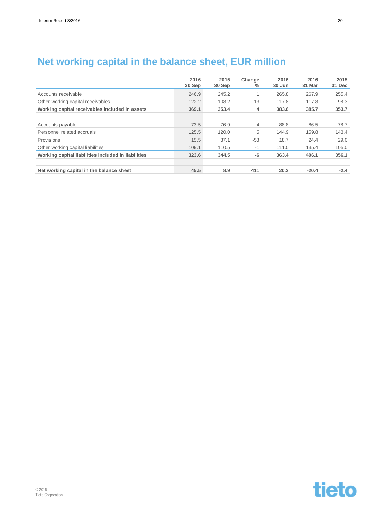|                                                     | 2016<br>30 Sep | 2015<br>30 Sep | Change<br>$\%$ | 2016<br>30 Jun | 2016<br>31 Mar | 2015<br>31 Dec |
|-----------------------------------------------------|----------------|----------------|----------------|----------------|----------------|----------------|
| Accounts receivable                                 | 246.9          | 245.2          |                | 265.8          | 267.9          | 255.4          |
| Other working capital receivables                   | 122.2          | 108.2          | 13             | 117.8          | 117.8          | 98.3           |
| Working capital receivables included in assets      | 369.1          | 353.4          | 4              | 383.6          | 385.7          | 353.7          |
| Accounts payable                                    | 73.5           | 76.9           | $-4$           | 88.8           | 86.5           | 78.7           |
| Personnel related accruals                          | 125.5          | 120.0          | 5              | 144.9          | 159.8          | 143.4          |
| Provisions                                          | 15.5           | 37.1           | $-58$          | 18.7           | 24.4           | 29.0           |
| Other working capital liabilities                   | 109.1          | 110.5          | $-1$           | 111.0          | 135.4          | 105.0          |
| Working capital liabilities included in liabilities | 323.6          | 344.5          | -6             | 363.4          | 406.1          | 356.1          |
| Net working capital in the balance sheet            | 45.5           | 8.9            | 411            | 20.2           | $-20.4$        | $-2.4$         |

### **Net working capital in the balance sheet, EUR million**

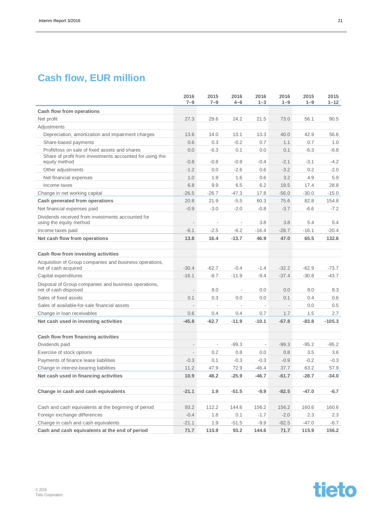## **Cash flow, EUR million**

|                                                                                 | 2016<br>$7 - 9$          | 2015<br>$7 - 9$          | 2016<br>$4 - 6$          | 2016<br>$1 - 3$              | 2016<br>$1 - 9$ | 2015<br>$1 - 9$ | 2015<br>$1 - 12$ |
|---------------------------------------------------------------------------------|--------------------------|--------------------------|--------------------------|------------------------------|-----------------|-----------------|------------------|
| Cash flow from operations                                                       |                          |                          |                          |                              |                 |                 |                  |
| Net profit                                                                      | 27.3                     | 29.6                     | 24.2                     | 21.5                         | 73.0            | 56.1            | 90.5             |
| Adjustments                                                                     |                          |                          |                          |                              |                 |                 |                  |
| Depreciation, amortization and impairment charges                               | 13.6                     | 14.0                     | 13.1                     | 13.3                         | 40.0            | 42.9            | 56.6             |
| Share-based payments                                                            | 0.6                      | 0.3                      | $-0.2$                   | 0.7                          | 1.1             | 0.7             | 1.0              |
| Profit/loss on sale of fixed assets and shares                                  | 0.0                      | $-6.3$                   | 0.1                      | 0.0                          | 0.1             | $-6.3$          | $-6.8$           |
| Share of profit from investments accounted for using the<br>equity method       | $-0.8$                   | $-0.8$                   | $-0.9$                   | $-0.4$                       | $-2.1$          | $-3.1$          | $-4.2$           |
| Other adjustments                                                               | $-1.2$                   | 0.0                      | $-2.6$                   | 0.6                          | $-3.2$          | 0.2             | $-2.0$           |
| Net financial expenses                                                          | 1.0                      | 1.9                      | 1.6                      | 0.6                          | 3.2             | 4.9             | 5.9              |
| Income taxes                                                                    | 6.8                      | 9.9                      | 6.5                      | 6.2                          | 19.5            | 17.4            | 28.8             |
| Change in net working capital                                                   | $-26.5$                  | $-26.7$                  | $-47.3$                  | 17.8                         | $-56.0$         | $-30.0$         | $-15.0$          |
| Cash generated from operations                                                  | 20.8                     | 21.9                     | $-5.5$                   | 60.3                         | 75.6            | 82.8            | 154.8            |
| Net financial expenses paid                                                     | $-0.9$                   | $-3.0$                   | $-2.0$                   | $-0.8$                       | $-3.7$          | $-6.6$          | $-7.2$           |
| Dividends received from investments accounted for<br>using the equity method    |                          | $\overline{\phantom{a}}$ |                          | 3.8                          | 3.8             | 5.4             | 5.4              |
| Income taxes paid                                                               | $-6.1$                   | $-2.5$                   | $-6.2$                   | $-16.4$                      | $-28.7$         | $-16.1$         | $-20.4$          |
| Net cash flow from operations                                                   | 13.8                     | 16.4                     | $-13.7$                  | 46.9                         | 47.0            | 65.5            | 132.6            |
| Cash flow from investing activities                                             |                          |                          |                          |                              |                 |                 |                  |
| Acquisition of Group companies and business operations,<br>net of cash acquired | $-30.4$                  | $-62.7$                  | $-0.4$                   | $-1.4$                       | $-32.2$         | $-62.9$         | $-73.7$          |
| Capital expenditures                                                            | $-16.1$                  | $-8.7$                   | $-11.9$                  | $-9.4$                       | $-37.4$         | $-30.8$         | $-43.7$          |
| Disposal of Group companies and business operations,<br>net of cash disposed    | $\overline{\phantom{a}}$ | 8.0                      | $\overline{\phantom{a}}$ | 0.0                          | 0.0             | 8.0             | 8.3              |
| Sales of fixed assets                                                           | 0.1                      | 0.3                      | 0.0                      | 0.0                          | 0.1             | 0.4             | 0.6              |
| Sales of available-for-sale financial assets                                    |                          |                          |                          |                              |                 | 0.0             | 0.5              |
| Change in Ioan receivables                                                      | 0.6                      | 0.4                      | 0.4                      | 0.7                          | 1.7             | 1.5             | 2.7              |
| Net cash used in investing activities                                           | $-45.8$                  | $-62.7$                  | $-11.9$                  | $-10.1$                      | $-67.8$         | $-83.8$         | $-105.3$         |
| Cash flow from financing activities                                             |                          |                          |                          |                              |                 |                 |                  |
| Dividends paid                                                                  | $\overline{\phantom{a}}$ | ä,                       | $-99.3$                  | $\qquad \qquad \blacksquare$ | $-99.3$         | $-95.2$         | $-95.2$          |
| Exercise of stock options                                                       | $\overline{\phantom{a}}$ | 0.2                      | 0.8                      | 0.0                          | 0.8             | 3.5             | 3.6              |
| Payments of finance lease liabilities                                           | $-0.3$                   | 0.1                      | $-0.3$                   | $-0.3$                       | $-0.9$          | $-0.2$          | $-0.3$           |
| Change in interest-bearing liabilities                                          | 11.2                     | 47.9                     | 72.9                     | $-46.4$                      | 37.7            | 63.2            | 57.9             |
| Net cash used in financing activities                                           | 10.9                     | 48.2                     | $-25.9$                  | -46.7                        | $-61.7$         | $-28.7$         | $-34.0$          |
|                                                                                 |                          |                          |                          |                              |                 |                 |                  |
| Change in cash and cash equivalents                                             | $-21.1$                  | 1.9                      | $-51.5$                  | $-9.9$                       | $-82.5$         | $-47.0$         | $-6.7$           |
| Cash and cash equivalents at the beginning of period                            | 93.2                     | 112.2                    | 144.6                    | 156.2                        | 156.2           | 160.6           | 160.6            |
| Foreign exchange differences                                                    | $-0.4$                   | 1.8                      | 0.1                      | $-1.7$                       | $-2.0$          | 2.3             | 2.3              |
| Change in cash and cash equivalents                                             | $-21.1$                  | 1.9                      | $-51.5$                  | $-9.9$                       | $-82.5$         | $-47.0$         | $-6.7$           |
| Cash and cash equivalents at the end of period                                  | 71.7                     | 115.9                    | 93.2                     | 144.6                        | 71.7            | 115.9           | 156.2            |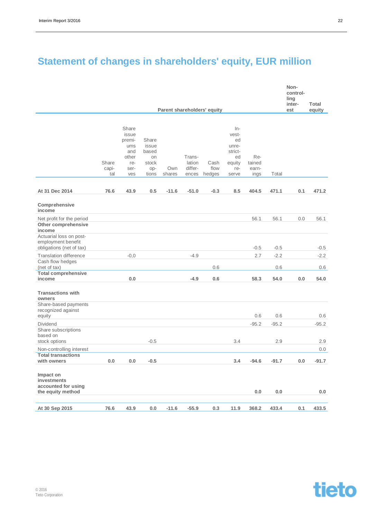## **Statement of changes in shareholders' equity, EUR million**

|                                                                                            |                       |                                                                       |                                                        |               |                                      |                             |                                                                          |                                |         | Non-<br>control-<br>ling<br>inter- | Total   |
|--------------------------------------------------------------------------------------------|-----------------------|-----------------------------------------------------------------------|--------------------------------------------------------|---------------|--------------------------------------|-----------------------------|--------------------------------------------------------------------------|--------------------------------|---------|------------------------------------|---------|
|                                                                                            |                       |                                                                       |                                                        |               |                                      | Parent shareholders' equity |                                                                          |                                |         | est                                | equity  |
|                                                                                            | Share<br>capi-<br>tal | Share<br>issue<br>premi-<br>ums<br>and<br>other<br>re-<br>ser-<br>ves | Share<br>issue<br>based<br>on<br>stock<br>op-<br>tions | Own<br>shares | Trans-<br>lation<br>differ-<br>ences | Cash<br>flow<br>hedges      | $In-$<br>vest-<br>ed<br>unre-<br>strict-<br>ed<br>equity<br>re-<br>serve | Re-<br>tained<br>earn-<br>ings | Total   |                                    |         |
| At 31 Dec 2014                                                                             | 76.6                  | 43.9                                                                  | 0.5                                                    | $-11.6$       | $-51.0$                              | $-0.3$                      | 8.5                                                                      | 404.5                          | 471.1   | 0.1                                | 471.2   |
| Comprehensive<br>income                                                                    |                       |                                                                       |                                                        |               |                                      |                             |                                                                          |                                |         |                                    |         |
| Net profit for the period<br>Other comprehensive<br>income                                 |                       |                                                                       |                                                        |               |                                      |                             |                                                                          | 56.1                           | 56.1    | 0.0                                | 56.1    |
| Actuarial loss on post-<br>employment benefit<br>obligations (net of tax)                  |                       |                                                                       |                                                        |               |                                      |                             |                                                                          | $-0.5$                         | $-0.5$  |                                    | $-0.5$  |
| <b>Translation difference</b>                                                              |                       | $-0,0$                                                                |                                                        |               | $-4.9$                               |                             |                                                                          | 2.7                            | $-2.2$  |                                    | $-2.2$  |
| Cash flow hedges<br>(net of tax)<br><b>Total comprehensive</b>                             |                       |                                                                       |                                                        |               |                                      | 0.6                         |                                                                          |                                | 0.6     |                                    | 0.6     |
| income                                                                                     |                       | 0.0                                                                   |                                                        |               | $-4.9$                               | 0.6                         |                                                                          | 58.3                           | 54.0    | 0.0                                | 54.0    |
| <b>Transactions with</b><br>owners<br>Share-based payments<br>recognized against<br>equity |                       |                                                                       |                                                        |               |                                      |                             |                                                                          | 0.6                            | 0.6     |                                    | 0.6     |
| <b>Dividend</b>                                                                            |                       |                                                                       |                                                        |               |                                      |                             |                                                                          | $-95.2$                        | $-95.2$ |                                    | $-95.2$ |
| Share subscriptions<br>based on<br>stock options                                           |                       |                                                                       | $-0.5$                                                 |               |                                      |                             | 3.4                                                                      |                                | 2.9     |                                    | 2.9     |
| Non-controlling interest                                                                   |                       |                                                                       |                                                        |               |                                      |                             |                                                                          |                                |         |                                    | 0.0     |
| <b>Total transactions</b><br>with owners                                                   | 0.0                   | 0.0                                                                   | $-0.5$                                                 |               |                                      |                             | 3.4                                                                      | $-94.6$                        | $-91.7$ | 0.0                                | $-91.7$ |
| Impact on<br>investments<br>accounted for using<br>the equity method                       |                       |                                                                       |                                                        |               |                                      |                             |                                                                          | 0.0                            | $0.0\,$ |                                    | 0.0     |
| At 30 Sep 2015                                                                             | 76.6                  | 43.9                                                                  | 0.0                                                    | $-11.6$       | $-55.9$                              | 0.3                         | 11.9                                                                     | 368.2                          | 433.4   | 0.1                                | 433.5   |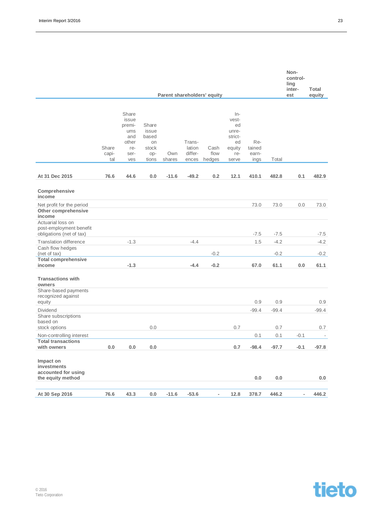|                                                                          |                       |                                                                       |                                                        |               |                                      |                             |                                                                          |                                |         | Non-<br>control-<br>ling<br>inter- | Total                    |
|--------------------------------------------------------------------------|-----------------------|-----------------------------------------------------------------------|--------------------------------------------------------|---------------|--------------------------------------|-----------------------------|--------------------------------------------------------------------------|--------------------------------|---------|------------------------------------|--------------------------|
|                                                                          |                       |                                                                       |                                                        |               |                                      | Parent shareholders' equity |                                                                          |                                |         | est                                | equity                   |
|                                                                          | Share<br>capi-<br>tal | Share<br>issue<br>premi-<br>ums<br>and<br>other<br>re-<br>ser-<br>ves | Share<br>issue<br>based<br>on<br>stock<br>op-<br>tions | Own<br>shares | Trans-<br>lation<br>differ-<br>ences | Cash<br>flow<br>hedges      | $In-$<br>vest-<br>ed<br>unre-<br>strict-<br>ed<br>equity<br>re-<br>serve | Re-<br>tained<br>earn-<br>ings | Total   |                                    |                          |
| At 31 Dec 2015                                                           | 76.6                  | 44.6                                                                  | 0.0                                                    | $-11.6$       | $-49.2$                              | 0.2                         | 12.1                                                                     | 410.1                          | 482.8   | 0.1                                | 482.9                    |
| Comprehensive<br>income                                                  |                       |                                                                       |                                                        |               |                                      |                             |                                                                          |                                |         |                                    |                          |
| Net profit for the period<br>Other comprehensive<br>income               |                       |                                                                       |                                                        |               |                                      |                             |                                                                          | 73.0                           | 73.0    | 0.0                                | 73.0                     |
| Actuarial loss on<br>post-employment benefit<br>obligations (net of tax) |                       |                                                                       |                                                        |               |                                      |                             |                                                                          | $-7.5$                         | $-7.5$  |                                    | $-7.5$                   |
| <b>Translation difference</b>                                            |                       | $-1.3$                                                                |                                                        |               | $-4.4$                               |                             |                                                                          | 1.5                            | $-4.2$  |                                    | $-4.2$                   |
| Cash flow hedges<br>(net of tax)<br><b>Total comprehensive</b>           |                       |                                                                       |                                                        |               |                                      | $-0.2$                      |                                                                          |                                | $-0.2$  |                                    | $-0.2$                   |
| income                                                                   |                       | $-1.3$                                                                |                                                        |               | $-4.4$                               | $-0.2$                      |                                                                          | 67.0                           | 61.1    | 0.0                                | 61.1                     |
| <b>Transactions with</b><br>owners<br>Share-based payments               |                       |                                                                       |                                                        |               |                                      |                             |                                                                          |                                |         |                                    |                          |
| recognized against<br>equity                                             |                       |                                                                       |                                                        |               |                                      |                             |                                                                          | 0.9                            | 0.9     |                                    | 0.9                      |
| <b>Dividend</b>                                                          |                       |                                                                       |                                                        |               |                                      |                             |                                                                          | $-99.4$                        | $-99.4$ |                                    | $-99.4$                  |
| Share subscriptions<br>based on<br>stock options                         |                       |                                                                       | 0.0                                                    |               |                                      |                             | 0.7                                                                      |                                | 0.7     |                                    | 0.7                      |
| Non-controlling interest                                                 |                       |                                                                       |                                                        |               |                                      |                             |                                                                          | 0.1                            | 0.1     | $-0.1$                             | $\overline{\phantom{a}}$ |
| <b>Total transactions</b><br>with owners                                 | $0.0\,$               | $0.0\,$                                                               | $0.0\,$                                                |               |                                      |                             | 0.7                                                                      | $-98.4$                        | $-97.7$ | $-0.1$                             | $-97.8$                  |
| Impact on<br>investments<br>accounted for using<br>the equity method     |                       |                                                                       |                                                        |               |                                      |                             |                                                                          | 0.0                            | $0.0\,$ |                                    | 0.0                      |
| At 30 Sep 2016                                                           | 76.6                  | 43.3                                                                  | $0.0\,$                                                | $-11.6$       | $-53.6$                              | $\overline{\phantom{a}}$    | 12.8                                                                     | 378.7                          | 446.2   | $\overline{\phantom{m}}$           | 446.2                    |

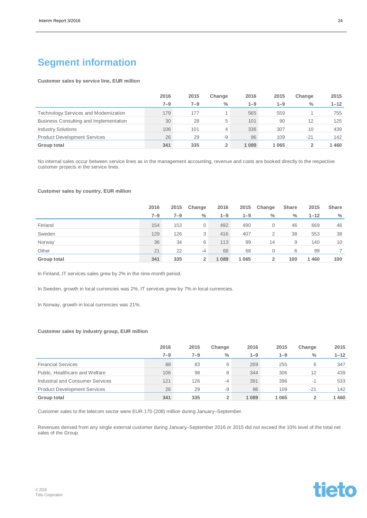### **Segment information**

#### **Customer sales by service line, EUR million**

|                                              | 2016    | 2015    | Change        | 2016    | 2015    | Change | 2015     |
|----------------------------------------------|---------|---------|---------------|---------|---------|--------|----------|
|                                              | $7 - 9$ | $7 - 9$ | $\frac{0}{0}$ | $1 - 9$ | $1 - 9$ | $\%$   | $1 - 12$ |
| <b>Technology Services and Modernization</b> | 179     | 177     |               | 565     | 559     |        | 755      |
| Business Consulting and Implementation       | 30      | 28      | 5             | 101     | 90      | 12     | 125      |
| <b>Industry Solutions</b>                    | 106     | 101     | 4             | 336     | 307     | 10     | 439      |
| <b>Product Development Services</b>          | 26      | 29      | -9            | 86      | 109     | $-21$  | 142      |
| Group total                                  | 341     | 335     | 2             | 1 0 8 9 | 1065    |        | 460      |

No internal sales occur between service lines as in the management accounting, revenue and costs are booked directly to the respective customer projects in the service lines.

#### **Customer sales by country, EUR million**

|             | 2016    | 2015    | Change | 2016    | 2015    | Change | Share         | 2015     | <b>Share</b> |
|-------------|---------|---------|--------|---------|---------|--------|---------------|----------|--------------|
|             | $7 - 9$ | $7 - 9$ | $\%$   | $1 - 9$ | $1 - 9$ | $\%$   | $\frac{0}{0}$ | $1 - 12$ | $\%$         |
| Finland     | 154     | 153     | 0      | 492     | 490     | 0      | 46            | 669      | 46           |
| Sweden      | 129     | 126     | 3      | 416     | 407     | 2      | 38            | 553      | 38           |
| Norway      | 36      | 34      | 6      | 113     | 99      | 14     | 9             | 140      | 10           |
| Other       | 21      | 22      | -4     | 68      | 68      | 0      | 6             | 99       |              |
| Group total | 341     | 335     | 2      | 1 0 8 9 | 1 0 6 5 | 2      | 100           | 1460     | 100          |

In Finland, IT services sales grew by 2% in the nine-month period.

In Sweden, growth in local currencies was 2%. IT services grew by 7% in local currencies.

In Norway, growth in local currencies was 21%.

#### **Customer sales by industry group, EUR million**

|                                     | 2016    | 2015    | Change        | 2016    | 2015    | Change        | 2015     |
|-------------------------------------|---------|---------|---------------|---------|---------|---------------|----------|
|                                     | $7 - 9$ | $7 - 9$ | $\frac{0}{0}$ | $1 - 9$ | $1 - 9$ | $\frac{0}{0}$ | $1 - 12$ |
| <b>Financial Services</b>           | 88      | 83      | 6             | 269     | 255     | 6             | 347      |
| Public, Healthcare and Welfare      | 106     | 98      | 8             | 344     | 306     | 12            | 439      |
| Industrial and Consumer Services    | 121     | 126     | $-4$          | 391     | 396     | -1            | 533      |
| <b>Product Development Services</b> | 26      | 29      | -9            | 86      | 109     | $-21$         | 142      |
| Group total                         | 341     | 335     | 2             | 1 0 8 9 | 1065    |               | 1460     |

Customer sales to the telecom sector were EUR 170 (208) million during January–September.

Revenues derived from any single external customer during January–September 2016 or 2015 did not exceed the 10% level of the total net sales of the Group.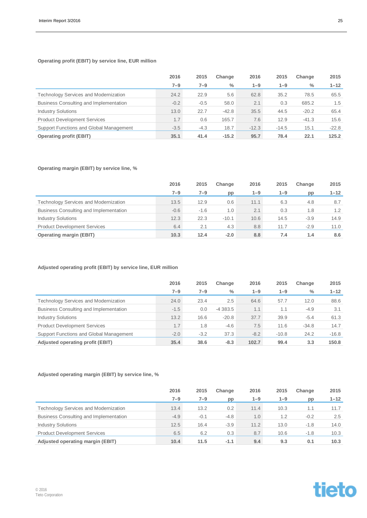### **Operating profit (EBIT) by service line, EUR million**

|                                              | 2016   | 2015    | Change        | 2016    | 2015    | Change        | 2015     |
|----------------------------------------------|--------|---------|---------------|---------|---------|---------------|----------|
|                                              | 7–9    | $7 - 9$ | $\frac{0}{0}$ | $1 - 9$ | $1 - 9$ | $\frac{0}{0}$ | $1 - 12$ |
| <b>Technology Services and Modernization</b> | 24.2   | 22.9    | 5.6           | 62.8    | 35.2    | 78.5          | 65.5     |
| Business Consulting and Implementation       | $-0.2$ | $-0.5$  | 58.0          | 2.1     | 0.3     | 685.2         | 1.5      |
| <b>Industry Solutions</b>                    | 13.0   | 22.7    | $-42.8$       | 35.5    | 44.5    | $-20.2$       | 65.4     |
| <b>Product Development Services</b>          | 1.7    | 0.6     | 165.7         | 7.6     | 12.9    | $-41.3$       | 15.6     |
| Support Functions and Global Management      | $-3.5$ | $-4.3$  | 18.7          | $-12.3$ | $-14.5$ | 15.1          | $-22.8$  |
| <b>Operating profit (EBIT)</b>               | 35.1   | 41.4    | $-15.2$       | 95.7    | 78.4    | 22.1          | 125.2    |

### **Operating margin (EBIT) by service line, %**

|                                              | 2016   | 2015    | Change  | 2016    | 2015    | Change | 2015     |
|----------------------------------------------|--------|---------|---------|---------|---------|--------|----------|
|                                              | 7–9    | $7 - 9$ | pp      | $1 - 9$ | $1 - 9$ | pp     | $1 - 12$ |
| <b>Technology Services and Modernization</b> | 13.5   | 12.9    | 0.6     | 11.1    | 6.3     | 4.8    | 8.7      |
| Business Consulting and Implementation       | $-0.6$ | $-1.6$  | 1.0     | 2.1     | 0.3     | 1.8    | 1.2      |
| <b>Industry Solutions</b>                    | 12.3   | 22.3    | $-10.1$ | 10.6    | 14.5    | $-3.9$ | 14.9     |
| <b>Product Development Services</b>          | 6.4    | 2.1     | 4.3     | 8.8     | 11.7    | $-2.9$ | 11.0     |
| <b>Operating margin (EBIT)</b>               | 10.3   | 12.4    | $-2.0$  | 8.8     | 7.4     | 1.4    | 8.6      |

### **Adjusted operating profit (EBIT) by service line, EUR million**

|                                              | 2016    | 2015    | Change        | 2016    | 2015    | Change        | 2015     |
|----------------------------------------------|---------|---------|---------------|---------|---------|---------------|----------|
|                                              | $7 - 9$ | $7 - 9$ | $\frac{0}{0}$ | $1 - 9$ | $1 - 9$ | $\frac{0}{0}$ | $1 - 12$ |
| <b>Technology Services and Modernization</b> | 24.0    | 23.4    | 2.5           | 64.6    | 57.7    | 12.0          | 88.6     |
| Business Consulting and Implementation       | $-1.5$  | 0.0     | $-4383.5$     | 1.1     | 1.1     | $-4.9$        | 3.1      |
| <b>Industry Solutions</b>                    | 13.2    | 16.6    | $-20.8$       | 37.7    | 39.9    | $-5.4$        | 61.3     |
| <b>Product Development Services</b>          | 1.7     | 1.8     | $-4.6$        | 7.5     | 11.6    | $-34.8$       | 14.7     |
| Support Functions and Global Management      | $-2.0$  | $-3.2$  | 37.3          | $-8.2$  | $-10.8$ | 24.2          | $-16.8$  |
| <b>Adjusted operating profit (EBIT)</b>      | 35.4    | 38.6    | $-8.3$        | 102.7   | 99.4    | 3.3           | 150.8    |

### **Adjusted operating margin (EBIT) by service line, %**

|                                              | 2016    | 2015    | Change | 2016    | 2015 | Change | 2015     |
|----------------------------------------------|---------|---------|--------|---------|------|--------|----------|
|                                              | $7 - 9$ | $7 - 9$ | pp     | $1 - 9$ | 1-9  | pp     | $1 - 12$ |
| <b>Technology Services and Modernization</b> | 13.4    | 13.2    | 0.2    | 11.4    | 10.3 | 1.1    | 11.7     |
| Business Consulting and Implementation       | $-4.9$  | $-0.1$  | $-4.8$ | 1.0     | 1.2  | $-0.2$ | 2.5      |
| <b>Industry Solutions</b>                    | 12.5    | 16.4    | $-3.9$ | 11.2    | 13.0 | $-1.8$ | 14.0     |
| <b>Product Development Services</b>          | 6.5     | 6.2     | 0.3    | 8.7     | 10.6 | $-1.8$ | 10.3     |
| Adjusted operating margin (EBIT)             | 10.4    | 11.5    | $-1.1$ | 9.4     | 9.3  | 0.1    | 10.3     |

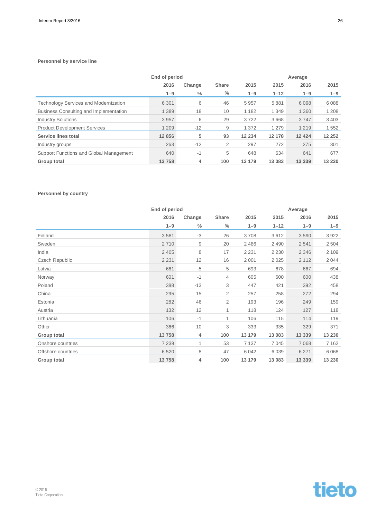### **Personnel by service line**

|                                              | End of period |        |              |         | Average  |          |         |  |
|----------------------------------------------|---------------|--------|--------------|---------|----------|----------|---------|--|
|                                              | 2016          | Change | <b>Share</b> | 2015    | 2015     | 2016     | 2015    |  |
|                                              | $1 - 9$       | $\%$   | $\%$         | $1 - 9$ | $1 - 12$ | $1 - 9$  | $1 - 9$ |  |
| <b>Technology Services and Modernization</b> | 6 3 0 1       | 6      | 46           | 5957    | 5881     | 6098     | 6088    |  |
| Business Consulting and Implementation       | 1 3 8 9       | 18     | 10           | 1 1 8 2 | 1 3 4 9  | 1 3 6 0  | 1 2 0 8 |  |
| <b>Industry Solutions</b>                    | 3957          | 6      | 29           | 3722    | 3668     | 3747     | 3 4 0 3 |  |
| <b>Product Development Services</b>          | 1 2 0 9       | $-12$  | 9            | 1 3 7 2 | 1 2 7 9  | 1 2 1 9  | 1552    |  |
| Service lines total                          | 12 856        | 5      | 93           | 12 2 34 | 12 178   | 12 4 24  | 12 25 2 |  |
| Industry groups                              | 263           | $-12$  | 2            | 297     | 272      | 275      | 301     |  |
| Support Functions and Global Management      | 640           | $-1$   | 5            | 648     | 634      | 641      | 677     |  |
| Group total                                  | 13758         | 4      | 100          | 13 179  | 13 083   | 13 3 3 9 | 13 230  |  |

### **Personnel by country**

|                    | End of period |               |               |         | Average  |         |         |
|--------------------|---------------|---------------|---------------|---------|----------|---------|---------|
|                    | 2016          | Change        | Share         | 2015    | 2015     | 2016    | 2015    |
|                    | $1 - 9$       | $\frac{0}{0}$ | $\frac{0}{0}$ | $1 - 9$ | $1 - 12$ | $1 - 9$ | $1 - 9$ |
| Finland            | 3581          | $-3$          | 26            | 3708    | 3612     | 3590    | 3922    |
| Sweden             | 2710          | 9             | 20            | 2 4 8 6 | 2 4 9 0  | 2541    | 2504    |
| India              | 2 4 0 5       | 8             | 17            | 2 2 3 1 | 2 2 3 0  | 2 3 4 6 | 2 1 0 9 |
| Czech Republic     | 2 2 3 1       | 12            | 16            | 2 0 0 1 | 2025     | 2 1 1 2 | 2044    |
| Latvia             | 661           | $-5$          | 5             | 693     | 678      | 667     | 694     |
| Norway             | 601           | $-1$          | 4             | 605     | 600      | 600     | 438     |
| Poland             | 388           | $-13$         | 3             | 447     | 421      | 392     | 458     |
| China              | 295           | 15            | 2             | 257     | 258      | 272     | 294     |
| Estonia            | 282           | 46            | 2             | 193     | 196      | 249     | 159     |
| Austria            | 132           | 12            | $\mathbf{1}$  | 118     | 124      | 127     | 118     |
| Lithuania          | 106           | $-1$          | $\mathbf{1}$  | 106     | 115      | 114     | 119     |
| Other              | 366           | 10            | 3             | 333     | 335      | 329     | 371     |
| Group total        | 13758         | 4             | 100           | 13 179  | 13 083   | 13 339  | 13 230  |
| Onshore countries  | 7 2 3 9       | 1             | 53            | 7 1 3 7 | 7045     | 7 0 6 8 | 7 1 6 2 |
| Offshore countries | 6520          | 8             | 47            | 6 0 4 2 | 6039     | 6 2 7 1 | 6 0 68  |
| Group total        | 13758         | 4             | 100           | 13 179  | 13 083   | 13 339  | 13 230  |

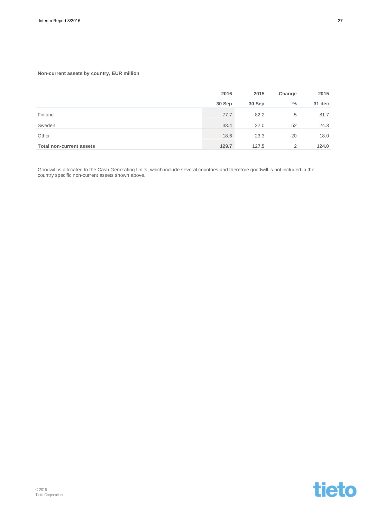### **Non-current assets by country, EUR million**

|                                 | 2016   | 2015   | Change | 2015   |
|---------------------------------|--------|--------|--------|--------|
|                                 | 30 Sep | 30 Sep | $\%$   | 31 dec |
| Finland                         | 77.7   | 82.2   | $-5$   | 81.7   |
| Sweden                          | 33.4   | 22.0   | 52     | 24.3   |
| Other                           | 18.6   | 23.3   | $-20$  | 18.0   |
| <b>Total non-current assets</b> | 129.7  | 127.5  | 2      | 124.0  |

Goodwill is allocated to the Cash Generating Units, which include several countries and therefore goodwill is not included in the country specific non-current assets shown above.

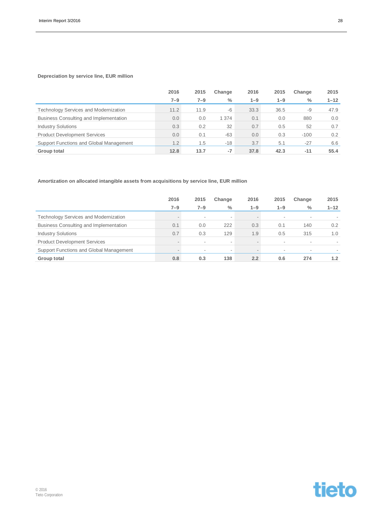### **Depreciation by service line, EUR million**

|                                              | 2016    | 2015    | Change | 2016    | 2015    | Change        | 2015     |
|----------------------------------------------|---------|---------|--------|---------|---------|---------------|----------|
|                                              | $7 - 9$ | $7 - 9$ | $\%$   | $1 - 9$ | $1 - 9$ | $\frac{0}{0}$ | $1 - 12$ |
| <b>Technology Services and Modernization</b> | 11.2    | 11.9    | -6     | 33.3    | 36.5    | -9            | 47.9     |
| Business Consulting and Implementation       | 0.0     | 0.0     | 1 374  | 0.1     | 0.0     | 880           | 0.0      |
| <b>Industry Solutions</b>                    | 0.3     | 0.2     | 32     | 0.7     | 0.5     | 52            | 0.7      |
| <b>Product Development Services</b>          | 0.0     | 0.1     | $-63$  | 0.0     | 0.3     | $-100$        | 0.2      |
| Support Functions and Global Management      | 1.2     | 1.5     | $-18$  | 3.7     | 5.1     | $-27$         | 6.6      |
| Group total                                  | 12.8    | 13.7    | $-7$   | 37.8    | 42.3    | $-11$         | 55.4     |

### **Amortization on allocated intangible assets from acquisitions by service line, EUR million**

|                                              | 2016   | 2015    | Change                   | 2016                     | 2015                     | Change        | 2015     |
|----------------------------------------------|--------|---------|--------------------------|--------------------------|--------------------------|---------------|----------|
|                                              | 7–9    | $7 - 9$ | $\frac{0}{0}$            | $1 - 9$                  | $1 - 9$                  | $\frac{0}{0}$ | $1 - 12$ |
| <b>Technology Services and Modernization</b> |        | $\sim$  | $\sim$                   | $\overline{\phantom{a}}$ | $\overline{\phantom{a}}$ | $\sim$        |          |
| Business Consulting and Implementation       | 0.1    | 0.0     | 222                      | 0.3                      | 0.1                      | 140           | 0.2      |
| <b>Industry Solutions</b>                    | 0.7    | 0.3     | 129                      | 1.9                      | 0.5                      | 315           | 1.0      |
| <b>Product Development Services</b>          | $\sim$ | $\sim$  | $\sim$                   | $\overline{\phantom{a}}$ | $\overline{\phantom{a}}$ | $\sim$        |          |
| Support Functions and Global Management      |        | ٠       | $\overline{\phantom{a}}$ | $\overline{\phantom{a}}$ | $\overline{\phantom{a}}$ | $\sim$        |          |
| Group total                                  | 0.8    | 0.3     | 138                      | 2.2                      | 0.6                      | 274           | 1.2      |

tieto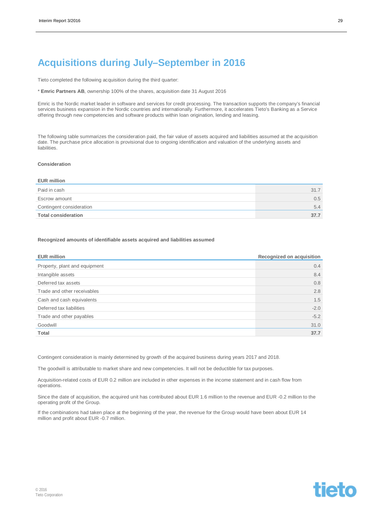### **Acquisitions during July–September in 2016**

Tieto completed the following acquisition during the third quarter:

\* **Emric Partners AB**, ownership 100% of the shares, acquisition date 31 August 2016

Emric is the Nordic market leader in software and services for credit processing. The transaction supports the company's financial services business expansion in the Nordic countries and internationally. Furthermore, it accelerates Tieto's Banking as a Service offering through new competencies and software products within loan origination, lending and leasing.

The following table summarizes the consideration paid, the fair value of assets acquired and liabilities assumed at the acquisition date. The purchase price allocation is provisional due to ongoing identification and valuation of the underlying assets and liabilities.

#### **Consideration**

#### **EUR million**

| Paid in cash               | 31.7 |
|----------------------------|------|
| Escrow amount              | 0.5  |
| Contingent consideration   | 5.4  |
| <b>Total consideration</b> | 37.7 |

#### **Recognized amounts of identifiable assets acquired and liabilities assumed**

| <b>EUR million</b>            | Recognized on acquisition |
|-------------------------------|---------------------------|
| Property, plant and equipment | $0.4^{\circ}$             |
| Intangible assets             | 8.4                       |
| Deferred tax assets           | 0.8                       |
| Trade and other receivables   | 2.8                       |
| Cash and cash equivalents     | 1.5                       |
| Deferred tax liabilities      | $-2.0$                    |
| Trade and other payables      | $-5.2$                    |
| Goodwill                      | 31.0                      |
| Total                         | 37.7                      |

Contingent consideration is mainly determined by growth of the acquired business during years 2017 and 2018.

The goodwill is attributable to market share and new competencies. It will not be deductible for tax purposes.

Acquisition-related costs of EUR 0.2 million are included in other expenses in the income statement and in cash flow from operations.

Since the date of acquisition, the acquired unit has contributed about EUR 1.6 million to the revenue and EUR -0.2 million to the operating profit of the Group.

If the combinations had taken place at the beginning of the year, the revenue for the Group would have been about EUR 14 million and profit about EUR -0.7 million.

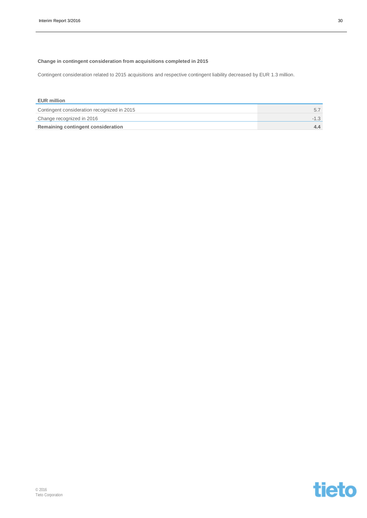### **Change in contingent consideration from acquisitions completed in 2015**

Contingent consideration related to 2015 acquisitions and respective contingent liability decreased by EUR 1.3 million.

| <b>EUR million</b>                          |        |
|---------------------------------------------|--------|
| Contingent consideration recognized in 2015 |        |
| Change recognized in 2016                   | $-1.3$ |
| Remaining contingent consideration          |        |

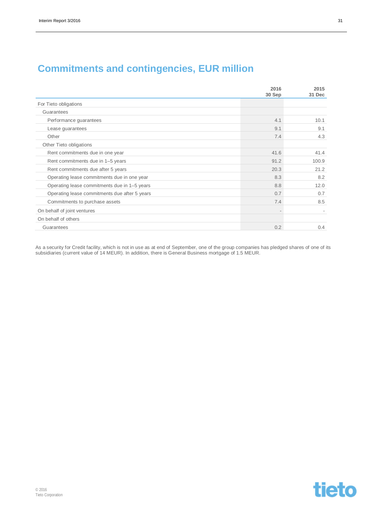|  |  | <b>Commitments and contingencies, EUR million</b> |  |
|--|--|---------------------------------------------------|--|
|--|--|---------------------------------------------------|--|

|                                               | 2016<br>30 Sep | 2015<br>31 Dec |
|-----------------------------------------------|----------------|----------------|
| For Tieto obligations                         |                |                |
| Guarantees                                    |                |                |
| Performance guarantees                        | 4.1            | 10.1           |
| Lease guarantees                              | 9.1            | 9.1            |
| Other                                         | 7.4            | 4.3            |
| Other Tieto obligations                       |                |                |
| Rent commitments due in one year              | 41.6           | 41.4           |
| Rent commitments due in 1-5 years             | 91.2           | 100.9          |
| Rent commitments due after 5 years            | 20.3           | 21.2           |
| Operating lease commitments due in one year   | 8.3            | 8.2            |
| Operating lease commitments due in 1-5 years  | 8.8            | 12.0           |
| Operating lease commitments due after 5 years | 0.7            | 0.7            |
| Commitments to purchase assets                | 7.4            | 8.5            |
| On behalf of joint ventures                   |                |                |
| On behalf of others                           |                |                |
| Guarantees                                    | 0.2            | 0.4            |

As a security for Credit facility, which is not in use as at end of September, one of the group companies has pledged shares of one of its subsidiaries (current value of 14 MEUR). In addition, there is General Business mortgage of 1.5 MEUR.

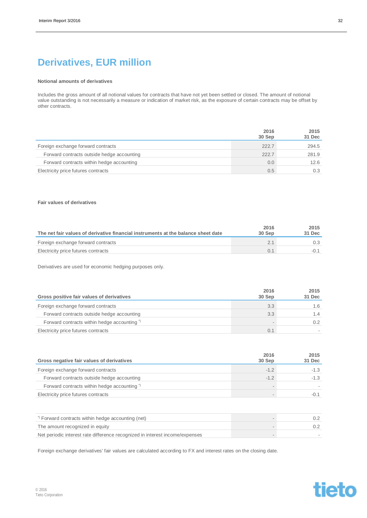### **Derivatives, EUR million**

#### **Notional amounts of derivatives**

Includes the gross amount of all notional values for contracts that have not yet been settled or closed. The amount of notional value outstanding is not necessarily a measure or indication of market risk, as the exposure of certain contracts may be offset by other contracts.

|                                            | 2016<br>30 Sep | 2015<br>31 Dec |
|--------------------------------------------|----------------|----------------|
| Foreign exchange forward contracts         | 222.7          | 294.5          |
| Forward contracts outside hedge accounting | 222.7          | 281.9          |
| Forward contracts within hedge accounting  | 0.0            | 12.6           |
| Electricity price futures contracts        | 0.5            | 0.3            |

#### **Fair values of derivatives**

| The net fair values of derivative financial instruments at the balance sheet date | 2016<br>30 Sep | 2015<br>31 Dec |
|-----------------------------------------------------------------------------------|----------------|----------------|
| Foreign exchange forward contracts                                                |                |                |
| Electricity price futures contracts                                               |                |                |

Derivatives are used for economic hedging purposes only.

| Gross positive fair values of derivatives              | 2016<br>30 Sep | 2015<br>31 Dec |
|--------------------------------------------------------|----------------|----------------|
| Foreign exchange forward contracts                     | 3.3            | 1.6            |
| Forward contracts outside hedge accounting             | 3.3            | 1.4            |
| Forward contracts within hedge accounting <sup>*</sup> |                |                |
| Electricity price futures contracts                    |                |                |

| Gross negative fair values of derivatives  | 2016<br>30 Sep | 2015<br>31 Dec |
|--------------------------------------------|----------------|----------------|
| Foreign exchange forward contracts         | $-12$          | $-1.3$         |
| Forward contracts outside hedge accounting | $-12$          | $-1.3$         |
| Forward contracts within hedge accounting" |                |                |
| Electricity price futures contracts        |                |                |

| Forward contracts within hedge accounting (net)                              |  |
|------------------------------------------------------------------------------|--|
| The amount recognized in equity                                              |  |
| Net periodic interest rate difference recognized in interest income/expenses |  |

Foreign exchange derivatives' fair values are calculated according to FX and interest rates on the closing date.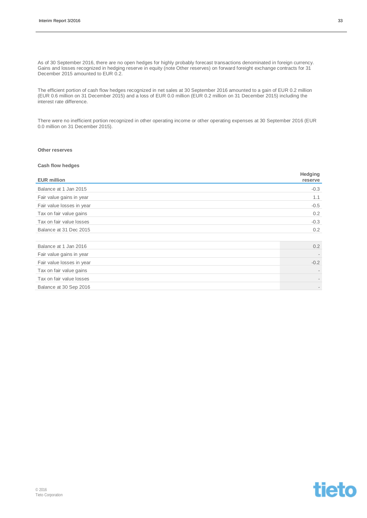As of 30 September 2016, there are no open hedges for highly probably forecast transactions denominated in foreign currency. Gains and losses recognized in hedging reserve in equity (note Other reserves) on forward foreight exchange contracts for 31 December 2015 amounted to EUR 0.2.

The efficient portion of cash flow hedges recognized in net sales at 30 September 2016 amounted to a gain of EUR 0.2 million (EUR 0.6 million on 31 December 2015) and a loss of EUR 0.0 million (EUR 0.2 million on 31 December 2015) including the interest rate difference.

There were no inefficient portion recognized in other operating income or other operating expenses at 30 September 2016 (EUR 0.0 million on 31 December 2015).

#### **Other reserves**

#### **Cash flow hedges**

| <b>EUR million</b>        | Hedging<br>reserve       |
|---------------------------|--------------------------|
| Balance at 1 Jan 2015     | $-0.3$                   |
| Fair value gains in year  | 1.1                      |
| Fair value losses in year | $-0.5$                   |
| Tax on fair value gains   | 0.2                      |
| Tax on fair value losses  | $-0.3$                   |
| Balance at 31 Dec 2015    | 0.2                      |
| Balance at 1 Jan 2016     | 0.2                      |
| Fair value gains in year  |                          |
| Fair value losses in year | $-0.2$                   |
| Tax on fair value gains   |                          |
| Tax on fair value losses  |                          |
| Balance at 30 Sep 2016    | $\overline{\phantom{a}}$ |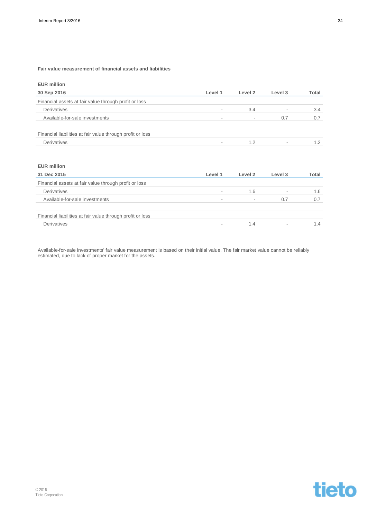### **Fair value measurement of financial assets and liabilities**

| <b>EUR million</b>                                         |                          |                          |                          |       |
|------------------------------------------------------------|--------------------------|--------------------------|--------------------------|-------|
| 30 Sep 2016                                                | Level 1                  | Level 2                  | Level 3                  | Total |
| Financial assets at fair value through profit or loss      |                          |                          |                          |       |
| Derivatives                                                | $\overline{\phantom{a}}$ | 3.4                      | $\overline{\phantom{a}}$ | 3.4   |
| Available-for-sale investments                             | $\overline{\phantom{a}}$ | $\overline{\phantom{a}}$ | 0.7                      | 0.7   |
| Financial liabilities at fair value through profit or loss |                          |                          |                          |       |
| Derivatives                                                | $\overline{\phantom{a}}$ | 1.2                      | $\overline{\phantom{a}}$ | 1.2   |

### **EUR million**

| 31 Dec 2015                                                | Level 1                  | Level 2 | Level 3                  | Total |
|------------------------------------------------------------|--------------------------|---------|--------------------------|-------|
| Financial assets at fair value through profit or loss      |                          |         |                          |       |
| Derivatives                                                | $\overline{\phantom{a}}$ | 1.6     | $\overline{\phantom{a}}$ | 1.6   |
| Available-for-sale investments                             | $\overline{\phantom{a}}$ |         | 0.7                      | 0.7   |
| Financial liabilities at fair value through profit or loss |                          |         |                          |       |
| Derivatives                                                |                          | 1.4     | $\overline{\phantom{a}}$ | 1.4   |

Available-for-sale investments' fair value measurement is based on their initial value. The fair market value cannot be reliably estimated, due to lack of proper market for the assets.

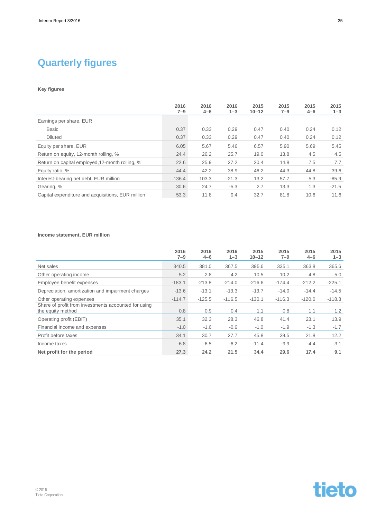### **Quarterly figures**

### **Key figures**

|                                                   | 2016<br>$7 - 9$ | 2016<br>$4 - 6$ | 2016<br>$1 - 3$ | 2015<br>$10 - 12$ | 2015<br>7–9 | 2015<br>$4 - 6$ | 2015<br>$1 - 3$ |
|---------------------------------------------------|-----------------|-----------------|-----------------|-------------------|-------------|-----------------|-----------------|
| Earnings per share, EUR                           |                 |                 |                 |                   |             |                 |                 |
| <b>Basic</b>                                      | 0.37            | 0.33            | 0.29            | 0.47              | 0.40        | 0.24            | 0.12            |
| <b>Diluted</b>                                    | 0.37            | 0.33            | 0.29            | 0.47              | 0.40        | 0.24            | 0.12            |
| Equity per share, EUR                             | 6.05            | 5.67            | 5.46            | 6.57              | 5.90        | 5.69            | 5.45            |
| Return on equity, 12-month rolling, %             | 24.4            | 26.2            | 25.7            | 19.0              | 13.8        | 4.5             | 4.5             |
| Return on capital employed, 12-month rolling, %   | 22.6            | 25.9            | 27.2            | 20.4              | 14.8        | 7.5             | 7.7             |
| Equity ratio, %                                   | 44.4            | 42.2            | 38.9            | 46.2              | 44.3        | 44.8            | 39.6            |
| Interest-bearing net debt, EUR million            | 136.4           | 103.3           | $-21.3$         | 13.2              | 57.7        | 5.3             | $-85.9$         |
| Gearing, %                                        | 30.6            | 24.7            | $-5.3$          | 2.7               | 13.3        | 1.3             | $-21.5$         |
| Capital expenditure and acquisitions, EUR million | 53.3            | 11.8            | 9.4             | 32.7              | 81.8        | 10.6            | 11.6            |

#### **Income statement, EUR million**

|                                                                           | 2016<br>$7 - 9$ | 2016<br>$4 - 6$ | 2016<br>$1 - 3$ | 2015<br>$10 - 12$ | 2015<br>$7 - 9$ | 2015<br>$4 - 6$ | 2015<br>$1 - 3$ |
|---------------------------------------------------------------------------|-----------------|-----------------|-----------------|-------------------|-----------------|-----------------|-----------------|
| Net sales                                                                 | 340.5           | 381.0           | 367.5           | 395.6             | 335.1           | 363.8           | 365.6           |
| Other operating income                                                    | 5.2             | 2.8             | 4.2             | 10.5              | 10.2            | 4.8             | 5.0             |
| Employee benefit expenses                                                 | $-183.1$        | $-213.8$        | $-214.0$        | $-216.6$          | $-174.4$        | $-212.2$        | $-225.1$        |
| Depreciation, amortization and impairment charges                         | $-13.6$         | $-13.1$         | $-13.3$         | $-13.7$           | $-14.0$         | $-14.4$         | $-14.5$         |
| Other operating expenses                                                  | $-114.7$        | $-125.5$        | $-116.5$        | $-130.1$          | $-116.3$        | $-120.0$        | $-118.3$        |
| Share of profit from investments accounted for using<br>the equity method | 0.8             | 0.9             | 0.4             | 1.1               | 0.8             | 1.1             | 1.2             |
| Operating profit (EBIT)                                                   | 35.1            | 32.3            | 28.3            | 46.8              | 41.4            | 23.1            | 13.9            |
| Financial income and expenses                                             | $-1.0$          | $-1.6$          | $-0.6$          | $-1.0$            | $-1.9$          | $-1.3$          | $-1.7$          |
| Profit before taxes                                                       | 34.1            | 30.7            | 27.7            | 45.8              | 39.5            | 21.8            | 12.2            |
| Income taxes                                                              | $-6.8$          | $-6.5$          | $-6.2$          | $-11.4$           | $-9.9$          | $-4.4$          | $-3.1$          |
| Net profit for the period                                                 | 27.3            | 24.2            | 21.5            | 34.4              | 29.6            | 17.4            | 9.1             |

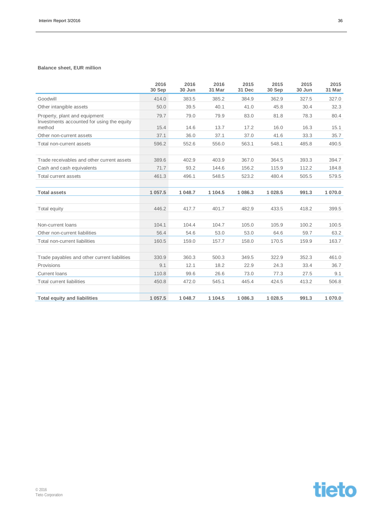### **Balance sheet, EUR million**

|                                                      | 2016<br>30 Sep | 2016<br>30 Jun | 2016<br>31 Mar | 2015<br>31 Dec | 2015<br>30 Sep | 2015<br>30 Jun | 2015<br>31 Mar |
|------------------------------------------------------|----------------|----------------|----------------|----------------|----------------|----------------|----------------|
| Goodwill                                             | 414.0          | 383.5          | 385.2          | 384.9          | 362.9          | 327.5          | 327.0          |
| Other intangible assets                              | 50.0           | 39.5           | 40.1           | 41.0           | 45.8           | 30.4           | 32.3           |
| Property, plant and equipment                        | 79.7           | 79.0           | 79.9           | 83.0           | 81.8           | 78.3           | 80.4           |
| Investments accounted for using the equity<br>method | 15.4           | 14.6           | 13.7           | 17.2           | 16.0           | 16.3           | 15.1           |
| Other non-current assets                             | 37.1           | 36.0           | 37.1           | 37.0           | 41.6           | 33.3           | 35.7           |
| Total non-current assets                             | 596.2          | 552.6          | 556.0          | 563.1          | 548.1          | 485.8          | 490.5          |
|                                                      |                |                |                |                |                |                |                |
| Trade receivables and other current assets           | 389.6          | 402.9          | 403.9          | 367.0          | 364.5          | 393.3          | 394.7          |
| Cash and cash equivalents                            | 71.7           | 93.2           | 144.6          | 156.2          | 115.9          | 112.2          | 184.8          |
| Total current assets                                 | 461.3          | 496.1          | 548.5          | 523.2          | 480.4          | 505.5          | 579.5          |
|                                                      |                |                |                |                |                |                |                |
| <b>Total assets</b>                                  | 1 057.5        | 1 048.7        | 1 1 0 4 .5     | 1 086.3        | 1 0 28.5       | 991.3          | 1 070.0        |
|                                                      |                |                |                |                |                |                |                |
| Total equity                                         | 446.2          | 417.7          | 401.7          | 482.9          | 433.5          | 418.2          | 399.5          |
|                                                      |                |                |                |                |                |                |                |
| Non-current loans                                    | 104.1          | 104.4          | 104.7          | 105.0          | 105.9          | 100.2          | 100.5          |
| Other non-current liabilities                        | 56.4           | 54.6           | 53.0           | 53.0           | 64.6           | 59.7           | 63.2           |
| Total non-current liabilities                        | 160.5          | 159.0          | 157.7          | 158.0          | 170.5          | 159.9          | 163.7          |
|                                                      |                |                |                |                |                |                |                |
| Trade payables and other current liabilities         | 330.9          | 360.3          | 500.3          | 349.5          | 322.9          | 352.3          | 461.0          |
| Provisions                                           | 9.1            | 12.1           | 18.2           | 22.9           | 24.3           | 33.4           | 36.7           |
| <b>Current loans</b>                                 | 110.8          | 99.6           | 26.6           | 73.0           | 77.3           | 27.5           | 9.1            |
| <b>Total current liabilities</b>                     | 450.8          | 472.0          | 545.1          | 445.4          | 424.5          | 413.2          | 506.8          |
|                                                      |                |                |                |                |                |                |                |
| <b>Total equity and liabilities</b>                  | 1 0 5 7.5      | 1 048.7        | 1 1 0 4 .5     | 1 086.3        | 1 028.5        | 991.3          | 1 070.0        |

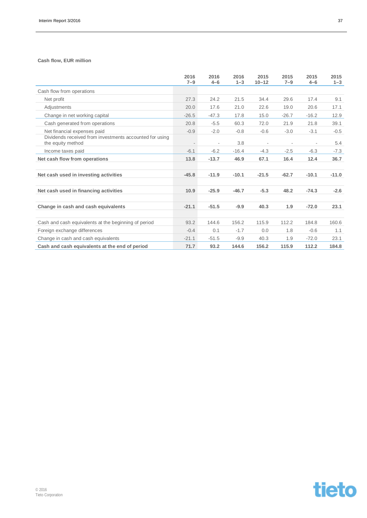#### **Cash flow, EUR million**

|                                                                              | 2016<br>$7 - 9$ | 2016<br>$4 - 6$ | 2016<br>$1 - 3$ | 2015<br>$10 - 12$ | 2015<br>$7 - 9$ | 2015<br>$4 - 6$ | 2015<br>$1 - 3$ |
|------------------------------------------------------------------------------|-----------------|-----------------|-----------------|-------------------|-----------------|-----------------|-----------------|
| Cash flow from operations                                                    |                 |                 |                 |                   |                 |                 |                 |
| Net profit                                                                   | 27.3            | 24.2            | 21.5            | 34.4              | 29.6            | 17.4            | 9.1             |
| Adjustments                                                                  | 20.0            | 17.6            | 21.0            | 22.6              | 19.0            | 20.6            | 17.1            |
| Change in net working capital                                                | $-26.5$         | $-47.3$         | 17.8            | 15.0              | $-26.7$         | $-16.2$         | 12.9            |
| Cash generated from operations                                               | 20.8            | $-5.5$          | 60.3            | 72.0              | 21.9            | 21.8            | 39.1            |
| Net financial expenses paid                                                  | $-0.9$          | $-2.0$          | $-0.8$          | $-0.6$            | $-3.0$          | $-3.1$          | $-0.5$          |
| Dividends received from investments accounted for using<br>the equity method |                 |                 | 3.8             |                   |                 |                 | 5.4             |
| Income taxes paid                                                            | $-6.1$          | $-6.2$          | $-16.4$         | $-4.3$            | $-2.5$          | $-6.3$          | $-7.3$          |
| Net cash flow from operations                                                | 13.8            | $-13.7$         | 46.9            | 67.1              | 16.4            | 12.4            | 36.7            |
| Net cash used in investing activities                                        | $-45.8$         | $-11.9$         | $-10.1$         | $-21.5$           | $-62.7$         | $-10.1$         | $-11.0$         |
| Net cash used in financing activities                                        | 10.9            | $-25.9$         | $-46.7$         | $-5.3$            | 48.2            | $-74.3$         | $-2.6$          |
| Change in cash and cash equivalents                                          | $-21.1$         | $-51.5$         | $-9.9$          | 40.3              | 1.9             | $-72.0$         | 23.1            |
| Cash and cash equivalents at the beginning of period                         | 93.2            | 144.6           | 156.2           | 115.9             | 112.2           | 184.8           | 160.6           |
| Foreign exchange differences                                                 | $-0.4$          | 0.1             | $-1.7$          | 0.0               | 1.8             | $-0.6$          | 1.1             |
| Change in cash and cash equivalents                                          | $-21.1$         | $-51.5$         | $-9.9$          | 40.3              | 1.9             | $-72.0$         | 23.1            |
| Cash and cash equivalents at the end of period                               | 71.7            | 93.2            | 144.6           | 156.2             | 115.9           | 112.2           | 184.8           |

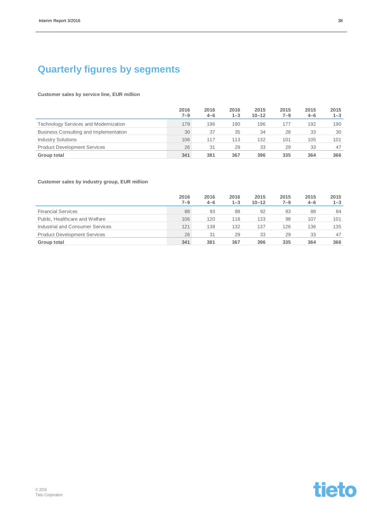### **Quarterly figures by segments**

#### **Customer sales by service line, EUR million**

|                                              | 2016<br>7–9 | 2016<br>$4 - 6$ | 2016<br>$1 - 3$ | 2015<br>$10 - 12$ | 2015<br>$7 - 9$ | 2015<br>$4 - 6$ | 2015<br>$1 - 3$ |
|----------------------------------------------|-------------|-----------------|-----------------|-------------------|-----------------|-----------------|-----------------|
| <b>Technology Services and Modernization</b> | 179         | 196             | 190             | 196               | 177             | 192             | 190             |
| Business Consulting and Implementation       | 30          | 37              | 35              | 34                | 28              | 33              | 30              |
| <b>Industry Solutions</b>                    | 106         | 117             | 113             | 132               | 101             | 105             | 101             |
| <b>Product Development Services</b>          | 26          | 31              | 29              | 33                | 29              | 33              | 47              |
| Group total                                  | 341         | 381             | 367             | 396               | 335             | 364             | 366             |

### **Customer sales by industry group, EUR million**

|                                     | 2016<br>7–9 | 2016<br>$4 - 6$ | 2016<br>$1 - 3$ | 2015<br>$10 - 12$ | 2015<br>$7 - 9$ | 2015<br>$4 - 6$ | 2015<br>$1 - 3$ |
|-------------------------------------|-------------|-----------------|-----------------|-------------------|-----------------|-----------------|-----------------|
| <b>Financial Services</b>           | 88          | 93              | 88              | 92                | 83              | 88              | 84              |
| Public, Healthcare and Welfare      | 106         | 120             | 118             | 133               | 98              | 107             | 101             |
| Industrial and Consumer Services    | 121         | 138             | 132             | 137               | 126             | 136             | 135             |
| <b>Product Development Services</b> | 26          | 31              | 29              | 33                | 29              | 33              | 47              |
| Group total                         | 341         | 381             | 367             | 396               | 335             | 364             | 366             |

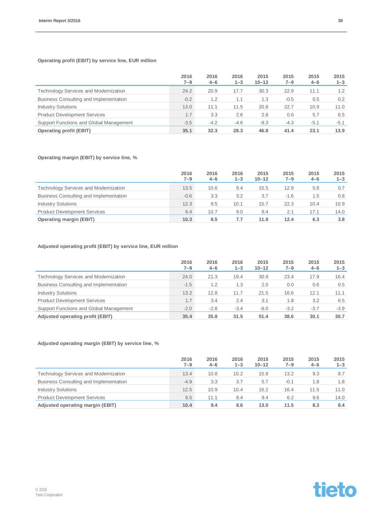### **Operating profit (EBIT) by service line, EUR million**

|                                              | 2016<br>7–9 | 2016<br>$4 - 6$ | 2016<br>$1 - 3$ | 2015<br>$10 - 12$ | 2015<br>$7 - 9$ | 2015<br>$4 - 6$ | 2015<br>$1 - 3$ |
|----------------------------------------------|-------------|-----------------|-----------------|-------------------|-----------------|-----------------|-----------------|
| <b>Technology Services and Modernization</b> | 24.2        | 20.9            | 17.7            | 30.3              | 22.9            | 11.1            | 1.2             |
| Business Consulting and Implementation       | $-0.2$      | 1.2             | 1.1             | 1.3               | $-0.5$          | 0.5             | 0.2             |
| <b>Industry Solutions</b>                    | 13.0        | 11.1            | 11.5            | 20.8              | 22.7            | 10.9            | 11.0            |
| <b>Product Development Services</b>          | 1.7         | 3.3             | 2.6             | 2.8               | 0.6             | 5.7             | 6.5             |
| Support Functions and Global Management      | $-3.5$      | $-4.2$          | $-4.6$          | $-8.3$            | $-4.3$          | $-5.1$          | $-5.1$          |
| <b>Operating profit (EBIT)</b>               | 35.1        | 32.3            | 28.3            | 46.8              | 41.4            | 23.1            | 13.9            |

### **Operating margin (EBIT) by service line, %**

|                                              | 2016<br>$7 - 9$ | 2016<br>$4 - 6$ | 2016<br>$1 - 3$ | 2015<br>$10 - 12$ | 2015<br>$7 - 9$ | 2015<br>$4 - 6$ | 2015<br>$1 - 3$ |
|----------------------------------------------|-----------------|-----------------|-----------------|-------------------|-----------------|-----------------|-----------------|
| <b>Technology Services and Modernization</b> | 13.5            | 10.6            | 9.4             | 15.5              | 12.9            | 5.8             | 0.7             |
| Business Consulting and Implementation       | $-0.6$          | 3.3             | 3.2             | 3.7               | $-1.6$          | $1.5^{\circ}$   | 0.8             |
| <b>Industry Solutions</b>                    | 12.3            | 9.5             | 10.1            | 15.7              | 22.3            | 10.4            | 10.9            |
| <b>Product Development Services</b>          | 6.4             | 10.7            | 9.0             | 8.4               | 2.1             | 17.1            | 14.0            |
| <b>Operating margin (EBIT)</b>               | 10.3            | 8.5             | 7.7             | 11.8              | 12.4            | 6.3             | 3.8             |

### **Adjusted operating profit (EBIT) by service line, EUR million**

|                                              | 2016<br>7–9 | 2016<br>$4 - 6$ | 2016<br>$1 - 3$ | 2015<br>$10 - 12$ | 2015<br>$7 - 9$ | 2015<br>$4 - 6$ | 2015<br>$1 - 3$ |
|----------------------------------------------|-------------|-----------------|-----------------|-------------------|-----------------|-----------------|-----------------|
| <b>Technology Services and Modernization</b> | 24.0        | 21.3            | 19.4            | 30.9              | 23.4            | 17.9            | 16.4            |
| Business Consulting and Implementation       | $-1.5$      | 1.2             | 1.3             | 2.0               | 0.0             | 0.6             | 0.5             |
| <b>Industry Solutions</b>                    | 13.2        | 12.8            | 11.7            | 21.5              | 16.6            | 12.1            | 11.1            |
| <b>Product Development Services</b>          | 1.7         | 3.4             | 2.4             | 3.1               | 1.8             | 3.2             | 6.5             |
| Support Functions and Global Management      | $-2.0$      | $-2.8$          | $-3.4$          | $-6.0$            | $-3.2$          | $-3.7$          | $-3.9$          |
| Adjusted operating profit (EBIT)             | 35.4        | 35.8            | 31.5            | 51.4              | 38.6            | 30.1            | 30.7            |

### **Adjusted operating margin (EBIT) by service line, %**

|                                              | 2016<br>$7 - 9$ | 2016<br>$4 - 6$ | 2016<br>$1 - 3$ | 2015<br>$10 - 12$ | 2015<br>7–9 | 2015<br>$4 - 6$ | 2015<br>$1 - 3$ |
|----------------------------------------------|-----------------|-----------------|-----------------|-------------------|-------------|-----------------|-----------------|
| <b>Technology Services and Modernization</b> | 13.4            | 10.8            | 10.2            | 15.8              | 13.2        | 9.3             | 8.7             |
| Business Consulting and Implementation       | $-4.9$          | 3.3             | 3.7             | 5.7               | $-0.1$      | 1.8             | 1.8             |
| <b>Industry Solutions</b>                    | 12.5            | 10.9            | 10.4            | 16.2              | 16.4        | 11.5            | 11.0            |
| <b>Product Development Services</b>          | 6.5             | 11.1            | 8.4             | 9.4               | 6.2         | 9.6             | 14.0            |
| Adjusted operating margin (EBIT)             | 10.4            | 9.4             | 8.6             | 13.0              | 11.5        | 8.3             | 8.4             |

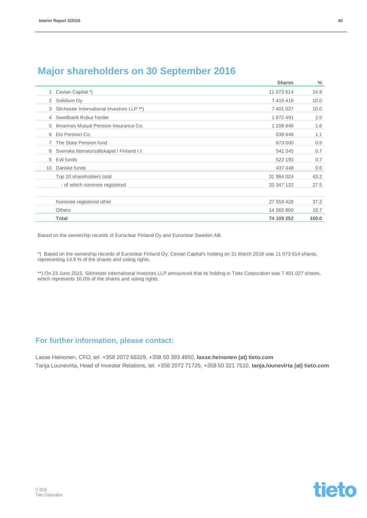| For further information, please contact: |                                                                                                                       |
|------------------------------------------|-----------------------------------------------------------------------------------------------------------------------|
|                                          | Lasse Heinonen, CFO, tel. +358 2072 66329, +358 50 393 4950, lasse heinonen (at) tieto.com                            |
|                                          | Tanja Lounevirta, Head of Investor Relations, tel. +358 2072 71725, +358 50 321 7510, tanja.lounevirta (at) tieto.com |
|                                          |                                                                                                                       |
|                                          |                                                                                                                       |
|                                          |                                                                                                                       |
|                                          |                                                                                                                       |
|                                          |                                                                                                                       |
|                                          |                                                                                                                       |

### **Major shareholders on 30 September 2016**

|                 | Total                                       | 74 109 252 | 100.0 |
|-----------------|---------------------------------------------|------------|-------|
|                 | <b>Others</b>                               | 14 565 800 | 19.7  |
|                 | Nominee registered other                    | 27 559 428 | 37.2  |
|                 |                                             |            |       |
|                 | - of which nominee registered               | 20 347 132 | 27.5  |
|                 | Top 10 shareholders total                   | 31 984 024 | 43.2  |
| 10 <sup>°</sup> | Danske funds                                | 437 448    | 0.6   |
| 9               | Evli funds                                  | 522 193    | 0.7   |
| 8               | Svenska litteratursällskapet i Finland r.f. | 541 345    | 0.7   |
|                 | The State Pension fund                      | 673 000    | 0.9   |
| 6               | Elo Pension Co.                             | 838 648    | 1.1   |
| 5               | Ilmarinen Mutual Pension Insurance Co.      | 1 208 840  | 1.6   |
| 4               | Swedbank Robur fonder                       | 1872491    | 2.5   |
| 3               | Silchester International Investors LLP **)  | 7 401 027  | 10.0  |
| 2               | Solidium Oy                                 | 7 415 418  | 10.0  |
|                 | Cevian Capital *)                           | 11 073 614 | 14.9  |

Based on the ownership records of Euroclear Finland Oy and Euroclear Sweden AB.

\*) Based on the ownership records of Euroclear Finland Oy, Cevian Capital's holding on 31 March 2016 was 11 073 614 shares, representing 14.9 % of the shares and voting rights.

\*\*) On 23 June 2015, Silchester International Investors LLP announced that its holding in Tieto Corporation was 7 401 027 shares, which represents 10.0% of the shares and voting rights.

**Shares %**